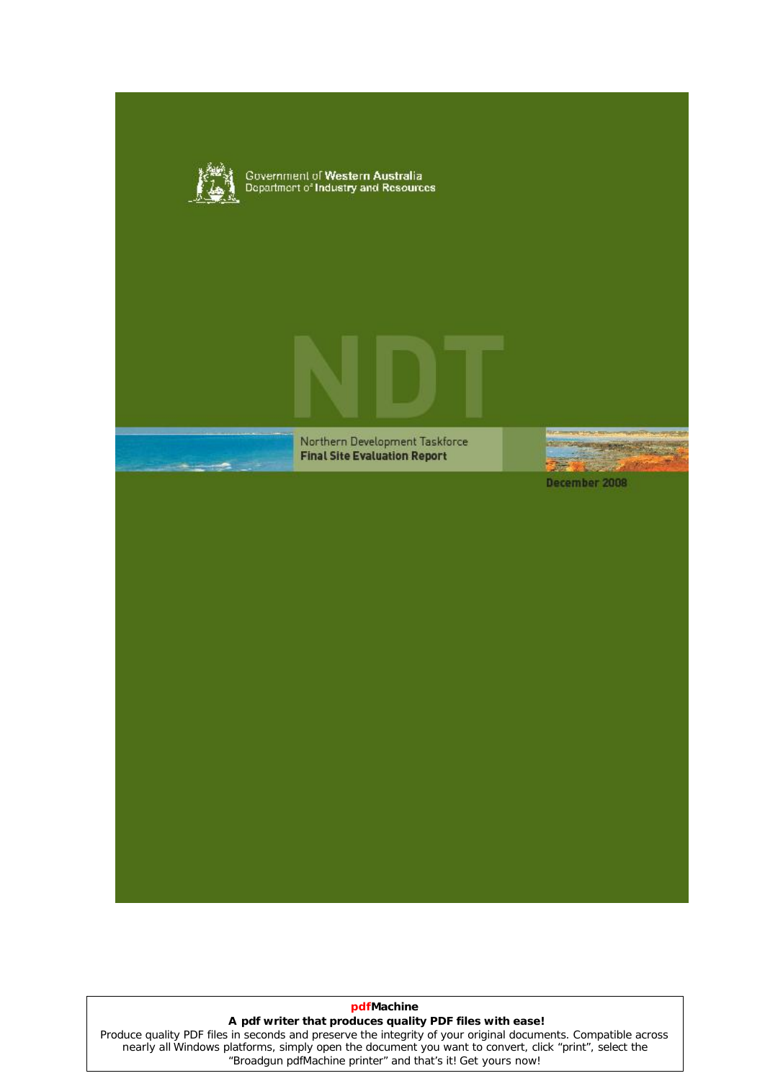

#### **pdfMachine**

#### **A pdf writer that produces quality PDF files with ease!**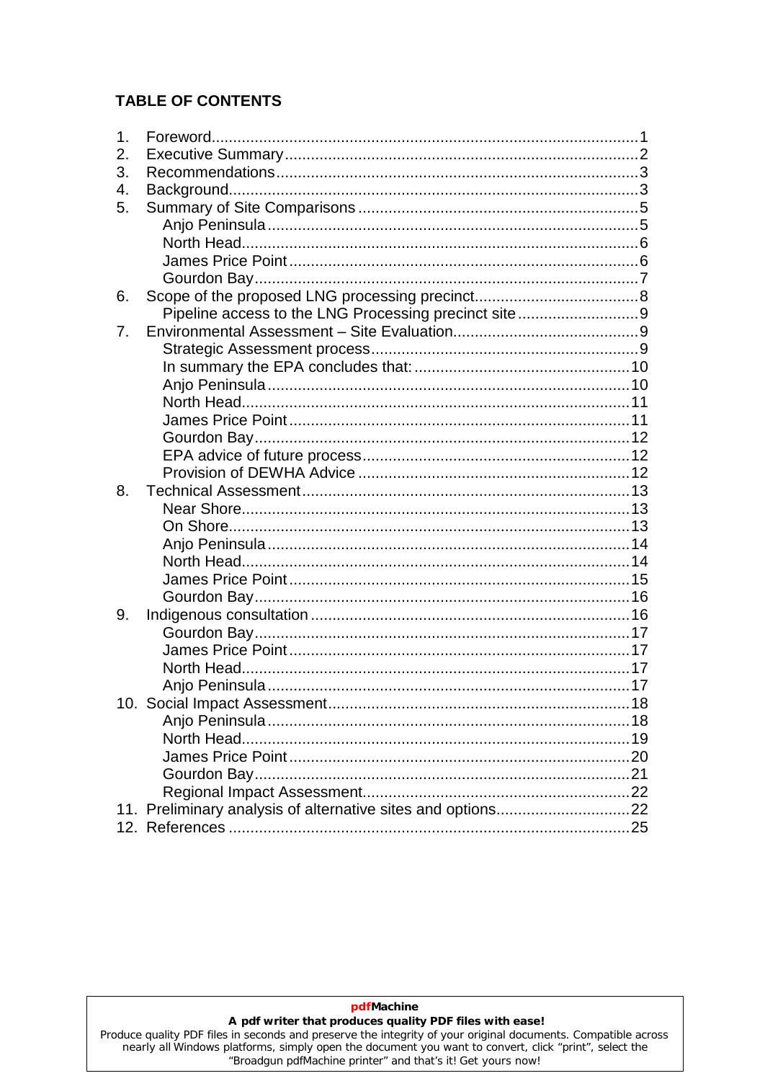# **TABLE OF CONTENTS**

| 1.  |                                                      |  |
|-----|------------------------------------------------------|--|
| 2.  |                                                      |  |
| 3.  |                                                      |  |
| 4.  |                                                      |  |
| 5.  |                                                      |  |
|     |                                                      |  |
|     |                                                      |  |
|     |                                                      |  |
|     |                                                      |  |
| 6.  |                                                      |  |
|     | Pipeline access to the LNG Processing precinct site9 |  |
| 7.  |                                                      |  |
|     |                                                      |  |
|     |                                                      |  |
|     |                                                      |  |
|     |                                                      |  |
|     |                                                      |  |
|     |                                                      |  |
|     |                                                      |  |
|     |                                                      |  |
| 8.  |                                                      |  |
|     |                                                      |  |
|     |                                                      |  |
|     |                                                      |  |
|     |                                                      |  |
|     |                                                      |  |
|     |                                                      |  |
| 9.  |                                                      |  |
|     |                                                      |  |
|     |                                                      |  |
|     |                                                      |  |
|     |                                                      |  |
| 10. |                                                      |  |
|     |                                                      |  |
|     |                                                      |  |
|     |                                                      |  |
|     |                                                      |  |
|     |                                                      |  |
|     |                                                      |  |
|     |                                                      |  |

pdfMachine

#### A pdf writer that produces quality PDF files with ease!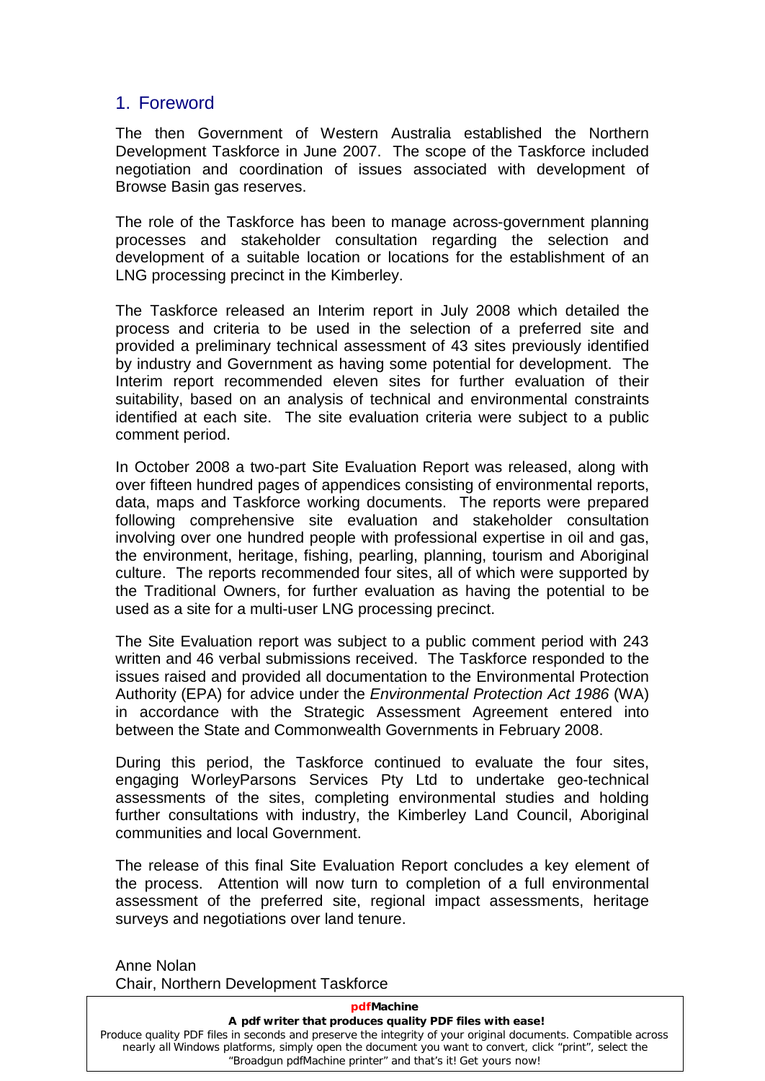# <span id="page-2-0"></span>1. Foreword

The then Government of Western Australia established the Northern Development Taskforce in June 2007. The scope of the Taskforce included negotiation and coordination of issues associated with development of Browse Basin gas reserves.

The role of the Taskforce has been to manage across-government planning processes and stakeholder consultation regarding the selection and development of a suitable location or locations for the establishment of an LNG processing precinct in the Kimberley.

The Taskforce released an Interim report in July 2008 which detailed the process and criteria to be used in the selection of a preferred site and provided a preliminary technical assessment of 43 sites previously identified by industry and Government as having some potential for development. The Interim report recommended eleven sites for further evaluation of their suitability, based on an analysis of technical and environmental constraints identified at each site. The site evaluation criteria were subject to a public comment period.

In October 2008 a two-part Site Evaluation Report was released, along with over fifteen hundred pages of appendices consisting of environmental reports, data, maps and Taskforce working documents. The reports were prepared following comprehensive site evaluation and stakeholder consultation involving over one hundred people with professional expertise in oil and gas, the environment, heritage, fishing, pearling, planning, tourism and Aboriginal culture. The reports recommended four sites, all of which were supported by the Traditional Owners, for further evaluation as having the potential to be used as a site for a multi-user LNG processing precinct.

The Site Evaluation report was subject to a public comment period with 243 written and 46 verbal submissions received. The Taskforce responded to the issues raised and provided all documentation to the Environmental Protection Authority (EPA) for advice under the Environmental Protection Act 1986 (WA) in accordance with the Strategic Assessment Agreement entered into between the State and Commonwealth Governments in February 2008.

During this period, the Taskforce continued to evaluate the four sites, engaging WorleyParsons Services Pty Ltd to undertake geo-technical assessments of the sites, completing environmental studies and holding further consultations with industry, the Kimberley Land Council, Aboriginal communities and local Government.

The release of this final Site Evaluation Report concludes a key element of the process. Attention will now turn to completion of a full environmental assessment of the preferred site, regional impact assessments, heritage surveys and negotiations over land tenure.

Anne Nolan Chair, Northern Development Taskforce

| <b>pdfMachine</b>                                                                                                                                                                                                                                                                     |
|---------------------------------------------------------------------------------------------------------------------------------------------------------------------------------------------------------------------------------------------------------------------------------------|
| A pdf writer that produces quality PDF files with ease!                                                                                                                                                                                                                               |
| Produce quality PDF files in seconds and preserve the integrity of your original documents. Compatible across<br>nearly all Windows platforms, simply open the document you want to convert, click "print", select the<br>"Broadgun pdfMachine printer" and that's it! Get yours now! |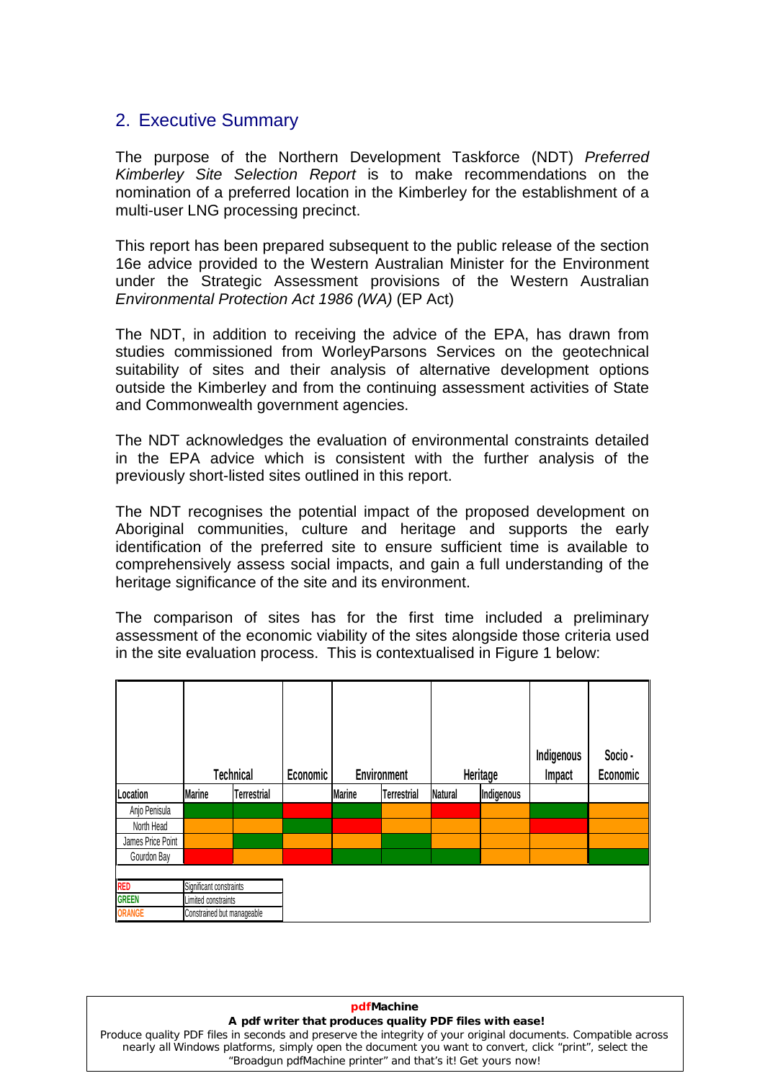# <span id="page-3-0"></span>2. Executive Summary

The purpose of the Northern Development Taskforce (NDT) Preferred Kimberley Site Selection Report is to make recommendations on the nomination of a preferred location in the Kimberley for the establishment of a multi-user LNG processing precinct.

This report has been prepared subsequent to the public release of the section 16e advice provided to the Western Australian Minister for the Environment under the Strategic Assessment provisions of the Western Australian Environmental Protection Act 1986 (WA) (EP Act)

The NDT, in addition to receiving the advice of the EPA, has drawn from studies commissioned from WorleyParsons Services on the geotechnical suitability of sites and their analysis of alternative development options outside the Kimberley and from the continuing assessment activities of State and Commonwealth government agencies.

The NDT acknowledges the evaluation of environmental constraints detailed in the EPA advice which is consistent with the further analysis of the previously short-listed sites outlined in this report.

The NDT recognises the potential impact of the proposed development on Aboriginal communities, culture and heritage and supports the early identification of the preferred site to ensure sufficient time is available to comprehensively assess social impacts, and gain a full understanding of the heritage significance of the site and its environment.

The comparison of sites has for the first time included a preliminary assessment of the economic viability of the sites alongside those criteria used in the site evaluation process. This is contextualised in Figure 1 below:

|                   |                            | <b>Technical</b>   | Economic |               | Environment        |         | Heritage   | Indigenous<br>Impact | Socio -<br>Economic |
|-------------------|----------------------------|--------------------|----------|---------------|--------------------|---------|------------|----------------------|---------------------|
| Location          | <b>Marine</b>              | <b>Terrestrial</b> |          | <b>Marine</b> | <b>Terrestrial</b> | Natural | Indigenous |                      |                     |
| Anjo Penisula     |                            |                    |          |               |                    |         |            |                      |                     |
| North Head        |                            |                    |          |               |                    |         |            |                      |                     |
| James Price Point |                            |                    |          |               |                    |         |            |                      |                     |
| Gourdon Bay       |                            |                    |          |               |                    |         |            |                      |                     |
|                   |                            |                    |          |               |                    |         |            |                      |                     |
| RED               | Significant constraints    |                    |          |               |                    |         |            |                      |                     |
| <b>GREEN</b>      | Limited constraints        |                    |          |               |                    |         |            |                      |                     |
| <b>ORANGE</b>     | Constrained but manageable |                    |          |               |                    |         |            |                      |                     |

#### Produce quality PDF files in seconds and preserve the integrity of your original documents. Compatible across **pdfMachine A pdf writer that produces quality PDF files with ease!** nearly all Windows platforms, simply open the document you want to convert, click "print", select the "Broadgun pdfMachine printer" and that's it! Get yours now!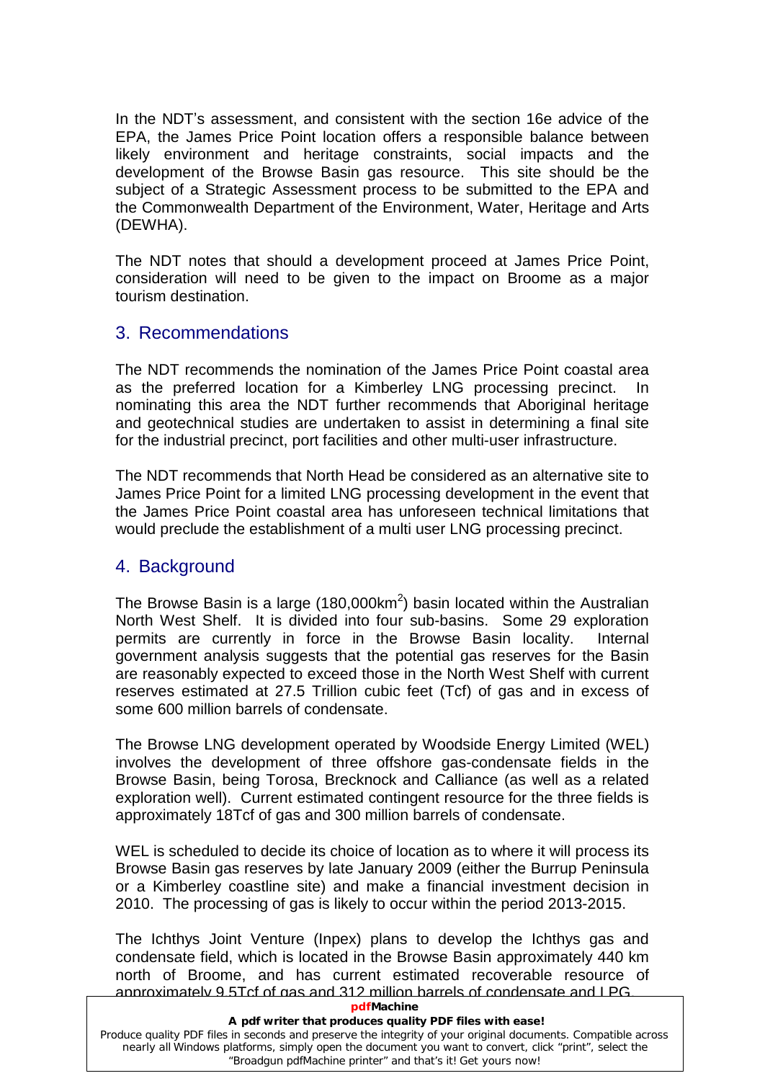In the NDT's assessment, and consistent with the section 16e advice of the EPA, the James Price Point location offers a responsible balance between likely environment and heritage constraints, social impacts and the development of the Browse Basin gas resource. This site should be the subject of a Strategic Assessment process to be submitted to the EPA and the Commonwealth Department of the Environment, Water, Heritage and Arts (DEWHA).

The NDT notes that should a development proceed at James Price Point, consideration will need to be given to the impact on Broome as a major tourism destination.

# <span id="page-4-0"></span>3. Recommendations

The NDT recommends the nomination of the James Price Point coastal area as the preferred location for a Kimberley LNG processing precinct. In nominating this area the NDT further recommends that Aboriginal heritage and geotechnical studies are undertaken to assist in determining a final site for the industrial precinct, port facilities and other multi-user infrastructure.

The NDT recommends that North Head be considered as an alternative site to James Price Point for a limited LNG processing development in the event that the James Price Point coastal area has unforeseen technical limitations that would preclude the establishment of a multiuser LNG processing precinct.

# <span id="page-4-1"></span>4. Background

The Browse Basin is a large (180,000km<sup>2</sup>) basin located within the Australian North West Shelf. It is divided into four sub-basins. Some 29 exploration permits are currently in force in the Browse Basin locality. Internal government analysis suggests that the potential gas reserves for the Basin are reasonably expected to exceed those in the North West Shelf with current reserves estimated at 27.5 Trillion cubic feet (Tcf) of gas and in excess of some 600 million barrels of condensate.

The Browse LNG development operated by Woodside Energy Limited (WEL) involves the development of three offshore gas-condensate fields in the Browse Basin, being Torosa, Brecknock and Calliance (as well as a related exploration well). Current estimated contingent resource for the three fields is approximately 18Tcf of gas and 300 million barrels of condensate.

WEL is scheduled to decide its choice of location as to where it will process its Browse Basin gas reserves by late January 2009 (either the Burrup Peninsula or a Kimberley coastline site) and make a financial investment decision in 2010. The processing of gas is likely to occur within the period 2013-2015.

The Ichthys Joint Venture (Inpex) plans to develop the Ichthys gas and condensate field, which is located in the Browse Basin approximately 440 km north of Broome, and has current estimated recoverable resource of approximately 9.5Tcf of gas and 312 million barrels of condensate and LPG.

#### **pdfMachine**

#### **A pdf writer that produces quality PDF files with ease!**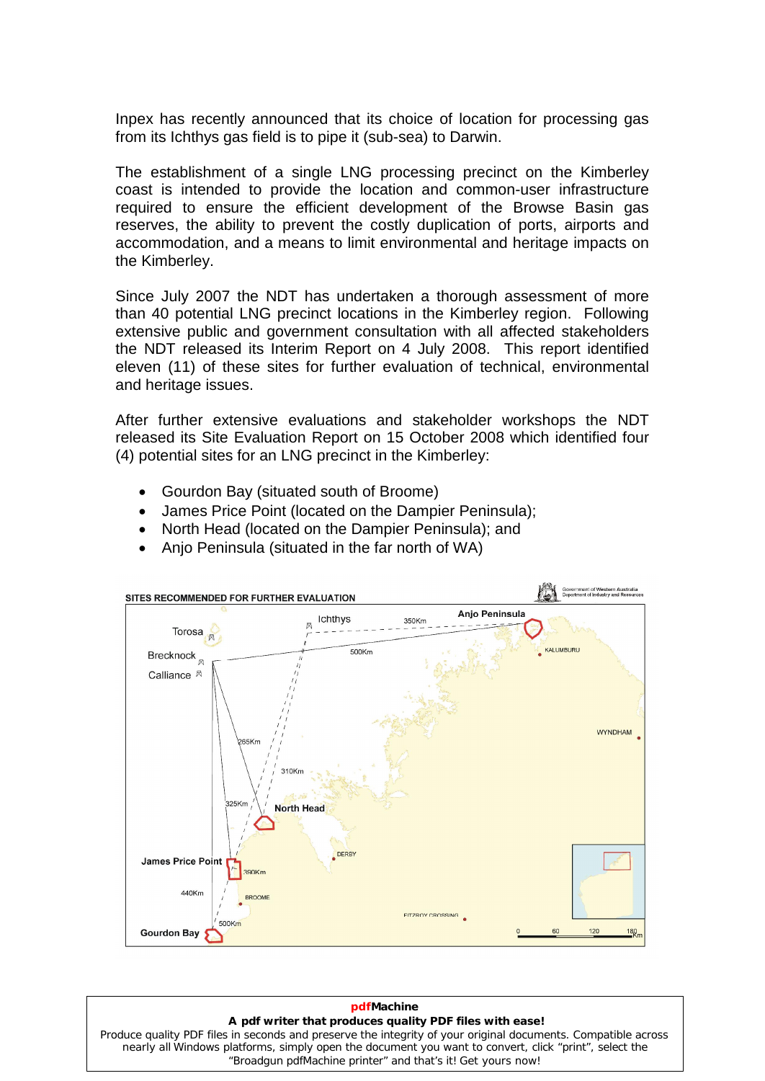Inpex has recently announced that its choice of location for processing gas from its Ichthys gas field is to pipe it (sub-sea) to Darwin.

The establishment of a single LNG processing precinct on the Kimberley coast is intended to provide the location and common-user infrastructure required to ensure the efficient development of the Browse Basin gas reserves, the ability to prevent the costly duplication of ports, airports and accommodation, and a means to limit environmental and heritage impacts on the Kimberley.

Since July 2007 the NDT has undertaken a thorough assessment of more than 40 potential LNG precinct locations in the Kimberley region. Following extensive public and government consultation with all affected stakeholders the NDT released its Interim Report on 4 July 2008. This report identified eleven (11) of these sites for further evaluation of technical, environmental and heritage issues.

After further extensive evaluations and stakeholder workshops the NDT released its Site Evaluation Report on 15 October 2008 which identified four (4) potential sites for an LNG precinct in the Kimberley:

- Gourdon Bay (situated south of Broome)
- James Price Point (located on the Dampier Peninsula);  $\bullet$
- North Head (located on the Dampier Peninsula); and
- Anjo Peninsula (situated in the far north of WA)



# **pdfMachine**

# **A pdf writer that produces quality PDF files with ease!**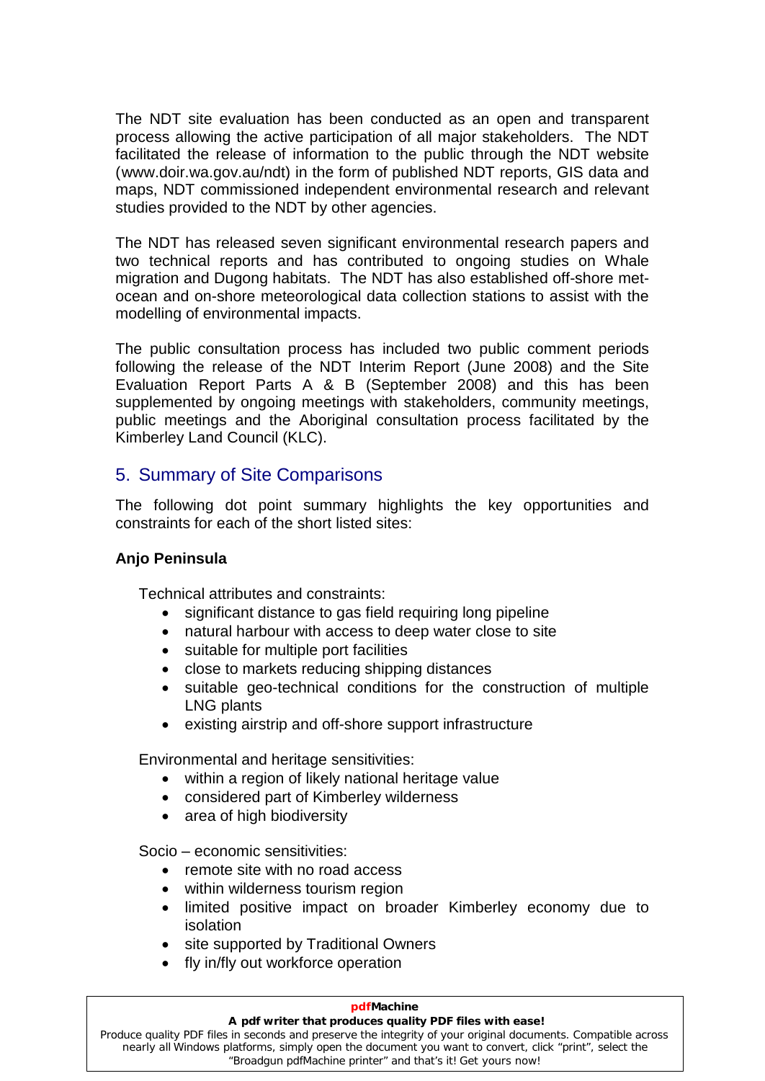The NDT site evaluation has been conducted as an open and transparent process allowing the active participation of all major stakeholders. The NDT facilitated the release of information to the public through the NDT website ([www.doir.wa.gov.au/nd](http://www.doir.wa.gov.au/ndt/)t) in the form of published NDT reports, GIS data and maps, NDT commissioned independent environmental research and relevant studies provided to the NDT by other agencies.

The NDT has released seven significant environmental research papers and two technical reports and has contributed to ongoing studies on Whale migration and Dugong habitats. The NDT has also established off-shore met ocean and on-shore meteorological data collection stations to assist with the modelling of environmental impacts.

The public consultation process has included two public comment periods following the release of the NDT Interim Report (June 2008) and the Site Evaluation Report Parts A & B (September 2008) and this has been supplemented by ongoing meetings with stakeholders, community meetings, public meetings and the Aboriginal consultation process facilitated by the Kimberley Land Council (KLC).

# <span id="page-6-0"></span>5. Summary of Site Comparisons

The following dot point summary highlights the key opportunities and constraints for each of the short listed sites:

## <span id="page-6-1"></span>**Anjo Peninsula**

Technical attributes and constraints:

- significant distance to gas field requiring long pipeline  $\bullet$
- natural harbour with access to deep water close to site  $\bullet$
- $\bullet$  suitable for multiple port facilities
- close to markets reducing shipping distances
- suitable geo-technical conditions for the construction of multiple LNG plants  $\bullet$
- existing airstrip and off-shore support infrastructure

Environmental and heritage sensitivities:

- within a region of likely national heritage value
- considered part of Kimberley wilderness
- 

• area of high biodiversity<br>Socio – economic sensitivities: Socio – economic sensitivities:

- remote site with no road access
- within wilderness tourism region
- limited positive impact on broader Kimberley economy due to isolation
- site supported by Traditional Owners
- fly in/fly out workforce operation

#### **pdfMachine**

#### **A pdf writer that produces quality PDF files with ease!**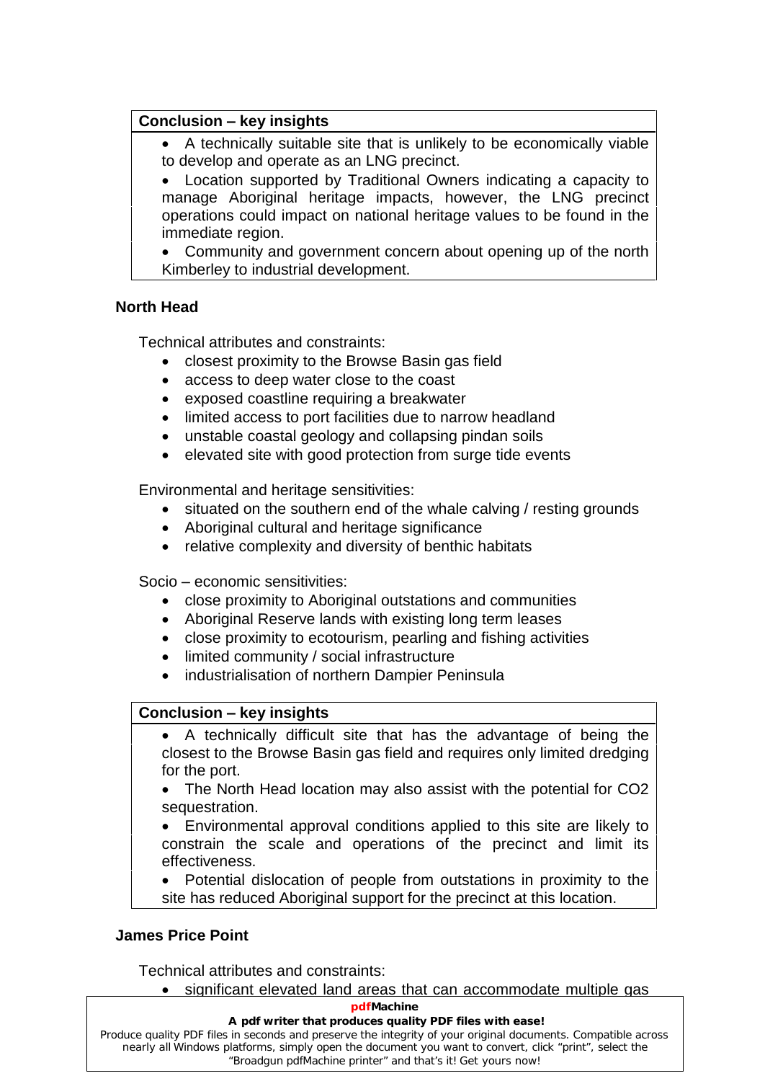#### **Conclusion – key insights**  $\overline{a}$

 $\bullet$  A technically suitable site that is unlikely to be economically viable  $\vert$ 

 Location supported by Traditional Owners indicating a capacity to  $\bullet$ manage Aboriginal heritage impacts, however, the LNG precinct operations could impact on national heritage values to be found in the immediate region.

 Community and government concern about opening up of the north Kimberley to industrial development.

# <span id="page-7-0"></span>**North Head**

Technical attributes and constraints:

- closest proximity to the Browse Basin gas field access to deep water close to the coast
- 
- access to deep water close to the coast<br>• exposed coastline requiring a breakwater  $\bullet$
- limited access to port facilities due to narrow headland
- unstable coastal geology and collapsing pindan soils  $\bullet$
- elevated site with good protection from surge tide events  $\bullet$

Environmental and heritage sensitivities:

- situated on the southern end of the whale calving / resting grounds
- Aboriginal cultural and heritage significance
- relative complexity and diversity of benthic habitats<br>Socio economic sensitivities:

Socio - economic sensitivities:

- close proximity to Aboriginal outstations and communities
- Aboriginal Reserve lands with existing long term leases
- close proximity to ecotourism, pearling and fishing activities
- limited community / social infrastructure  $\bullet$
- industrialisation of northern Dampier Peninsula **Conclusion <sup>ñ</sup> key insights**

# $\overline{a}$

 A technically difficult site that has the advantage of being the closest to the Browse Basin gas field and requires only limited dredging for the port.

The North Head location may also assist with the potential for CO2 sequestration.

 Environmental approval conditions applied to this site are likely to  $\bullet$ constrain the scale and operations of the precinct and limit its effectiveness.

 Potential dislocation of people from outstations in proximity to the site has reduced Aboriginal support for the precinct at this location.

# <span id="page-7-1"></span>**James Price Point**

Technical attributes and constraints:

• significant elevated land areas that can accommodate multiple gas

#### **pdfMachine**

#### **A pdf writer that produces quality PDF files with ease!**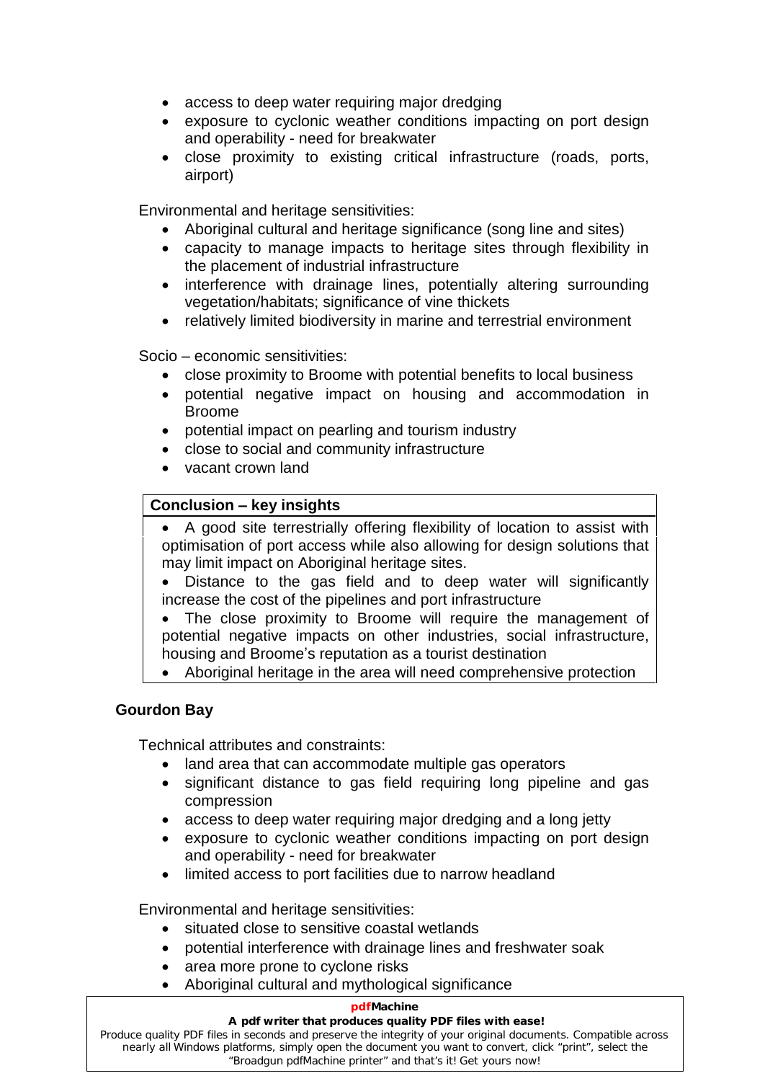- access to deep water requiring major dredging
- exposure to cyclonic weather conditions impacting on port design and operability need for breakwater
- close proximity to existing critical infrastructure (roads, ports, airport)

Environmental and heritage sensitivities:

- Aboriginal cultural and heritage significance (song line and sites)
- capacity to manage impacts to heritage sites through flexibility in the placement of industrial infrastructure
- interference with drainage lines, potentially altering surrounding vegetation/habitats; significance of vine thickets
- relatively limited biodiversity in marine and terrestrial environment<br>Socio economic sensitivities:

Socio – economic sensitivities:

- close proximity to Broome with potential benefits to local business
- potential negative impact on housing and accommodation in Broome
- potential impact on pearling and tourism industry
- close to social and community infrastructure  $\bullet$
- vacant crown land

#### **Conclusion - key insights**  $\overline{a}$

- A good site terrestrially offering flexibility of location to assist with  $\bullet$ optimisation of port access while also allowing for design solutions that may limit impact on Aboriginal heritage sites.
- Distance to the gas field and to deep water will significantly increase the cost of the pipelines and port infrastructure  $\bullet$
- The close proximity to Broome will require the management of potential negative impacts on other industries, social infrastructure, housing and Broome's reputation as a tourist destination potential negative impacts on other industries, social infrastructure,
- Aboriginal heritage in the area will need comprehensive protection  $\bullet$

## <span id="page-8-0"></span>**Gourdon Bay**

Technical attributes and constraints:

- land area that can accommodate multiple gas operators
- significant distance to gas field requiring long pipeline and gas compression
- access to deep water requiring major dredging and a long jetty
- exposure to cyclonic weather conditions impacting on port design and operability need for breakwater
- limited access to port facilities due to narrow headland  $\bullet$

Environmental and heritage sensitivities:

- situated close to sensitive coastal wetlands
- potential interference with drainage lines and freshwater soak  $\bullet$
- $\bullet$ area more prone to cyclone risks
- Aboriginal cultural and mythological significance

#### **pdfMachine**

#### Produce quality PDF files in seconds and preserve the integrity of your original documents. Compatible across **A pdf writer that produces quality PDF files with ease!**

nearly all Windows platforms, simply open the document you want to convert, click "print", select the "Broadgun pdfMachine printer" and that's it! Get yours now!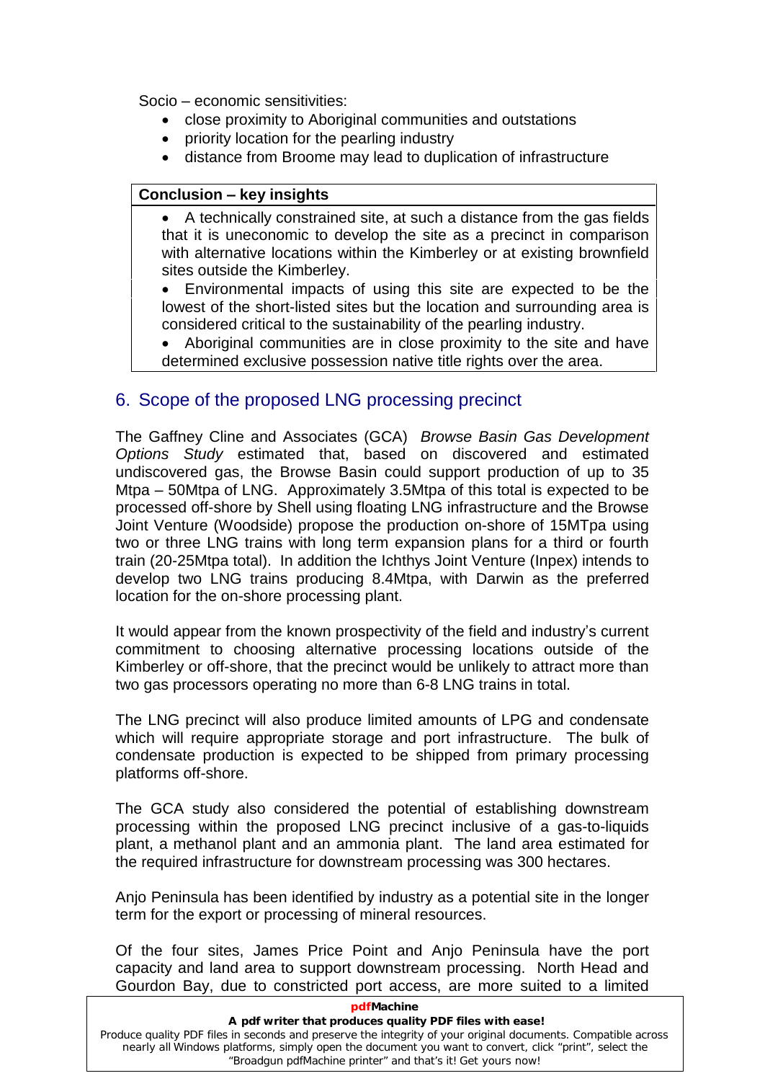socio – economic sensitivities:<br>**Socio – economic sensitivities**:

- close proximity to Aboriginal communities and outstations
- $\bullet$ priority location for the pearling industry
- distance from Broome may lead to duplication of infrastructure<br> **Conclusion key insights**

# $\overline{a}$

 A technically constrained site, at such a distance from the gas fields that it is uneconomic to develop the site as a precinct in comparison with alternative locations within the Kimberley or at existing brownfield  $\bigg\vert$ 

 Environmental impacts of using this site are expected to be the  $\bullet$ lowest of the short-listed sites but the location and surrounding area is considered critical to the sustainability of the pearling industry.

 Aboriginal communities are in close proximity to the site and have  $\bullet$ determined exclusive possession native title rights over the area.

# <span id="page-9-0"></span>6. Scope of the proposed LNG processing precinct

The Gaffney Cline and Associates (GCA) Browse Basin Gas Development Options Study estimated that, based on discovered and estimated<br>undiscovered gas, the Browse Basin could support production of up to 35<br>Mtpa – 50Mtpa of LNG. Approximately 3.5Mtpa of this total is expected to be undiscovered gas, the Browse Basin could support production of up to 35 processed off-shore by Shell using floating LNG infrastructure and the Browse Joint Venture (Woodside) propose the production on-shore of 15MTpa using two or three LNG trains with long term expansion plans for a third or fourth train (20-25Mtpa total). In addition the Ichthys Joint Venture (Inpex) intends to develop two LNG trains producing 8.4Mtpa, with Darwin as the preferred location for the on-shore processing plant.

It would appear from the known prospectivity of the field and industry's current commitment to choosing alternative processing locations outside of the Kimberley or off-shore, that the precinct would be unlikely to attract more than two gas processors operating no more than 6-8 LNG trains in total.

The LNG precinct will also produce limited amounts of LPG and condensate which will require appropriate storage and port infrastructure. The bulk of condensate production is expected to be shipped from primary processing platforms off-shore.

The GCA study also considered the potential of establishing downstream processing within the proposed LNG precinct inclusive of a gas-to-liquids plant, a methanol plant and an ammonia plant. The land area estimated for the required infrastructure for downstream processing was 300 hectares.

Anjo Peninsula has been identified by industry as a potential site in the longer term for the export or processing of mineral resources.

Of the four sites, James Price Point and Anjo Peninsula have the port capacity and land area to support downstream processing. North Head and Gourdon Bay, due to constricted port access, are more suited to a limited

| pdfMachine                                                                                                                                                                                                                                                                            |
|---------------------------------------------------------------------------------------------------------------------------------------------------------------------------------------------------------------------------------------------------------------------------------------|
| A pdf writer that produces quality PDF files with ease!                                                                                                                                                                                                                               |
| Produce quality PDF files in seconds and preserve the integrity of your original documents. Compatible across<br>nearly all Windows platforms, simply open the document you want to convert, click "print", select the<br>"Broadgun pdfMachine printer" and that's it! Get yours now! |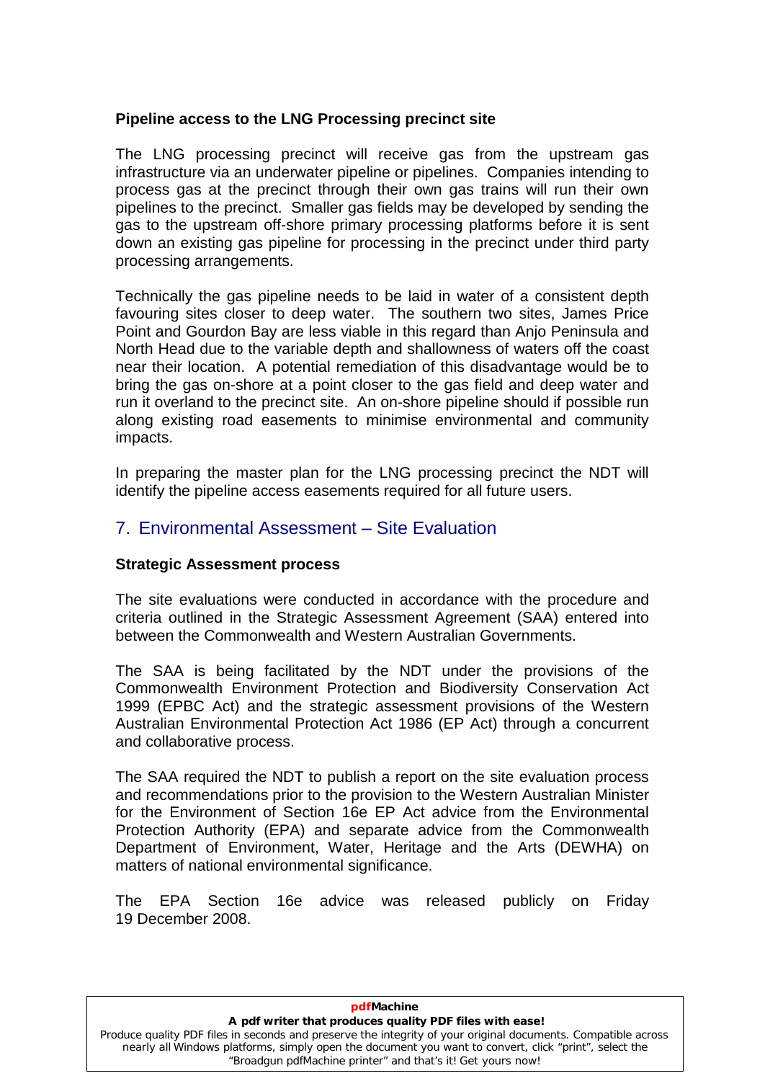## <span id="page-10-0"></span>**Pipeline access to the LNG Processing precinct site**

The LNG processing precinct will receive gas from the upstream gas infrastructure via an underwater pipeline or pipelines. Companies intending to process gas at the precinct through their own gas trains will run their own pipelines to the precinct. Smaller gas fields may be developed by sending the gas to the upstream off-shore primary processing platforms before it is sent down an existing gas pipeline for processing in the precinct under third party processing arrangements.

Technically the gas pipeline needs to be laid in water of a consistent depth favouring sites closer to deep water. The southern two sites, James Price Point and Gourdon Bay are less viable in this regard than Anjo Peninsula and North Head due to the variable depth and shallowness of waters off the coast near their location. A potential remediation of this disadvantage would be to bring the gas on-shore at a point closer to the gas field and deep water and run it overland to the precinct site. An on-shore pipeline should if possible run along existing road easements to minimise environmental and community impacts.

<span id="page-10-1"></span>In preparing the master plan for the LNG processing precinct the NDT will identify the pipeline access easements required for all future users. in preparing the master pian for the LNG processing precinct tridentify the pipeline access easements required for all future users.<br>7. Environmental Assessment – Site Evaluation

#### <span id="page-10-2"></span>**Strategic Assessment process**

The site evaluations were conducted in accordance with the procedure and criteria outlined in the Strategic Assessment Agreement (SAA) entered into between the Commonwealth and Western Australian Governments.

The SAA is being facilitated by the NDT under the provisions of the Commonwealth Environment Protection and Biodiversity Conservation Act 1999 (EPBC Act) and the strategic assessment provisions of the Western Australian Environmental Protection Act 1986 (EP Act) through a concurrent and collaborative process.

The SAA required the NDT to publish a report on the site evaluation process and recommendations prior to the provision to the Western Australian Minister for the Environment of Section 16e EP Act advice from the Environmental Protection Authority (EPA) and separate advice from the Commonwealth Department of Environment, Water, Heritage and the Arts (DEWHA) on matters of national environmental significance.

The EPA Section 16e advice was released publicly on Friday 19 December 2008.

**pdfMachine** 

#### **A pdf writer that produces quality PDF files with ease!**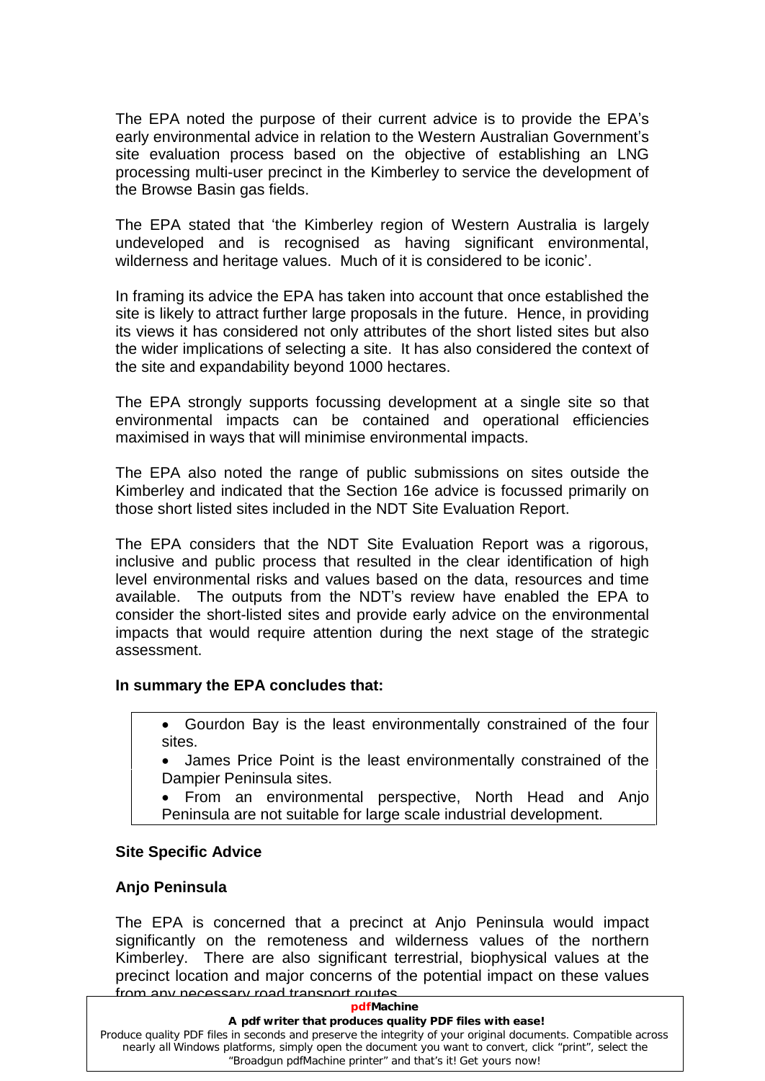The EPA noted the purpose of their current advice is to provide the EPAí<sup>s</sup> early environmental advice in relation to the Western Australian Government's site evaluation process based on the objective of establishing an LNG processing multi-user precinct in the Kimberley to service the development of the Browse Basin gas fields.

The EPA stated that 'the Kimberley region of Western Australia is largely undeveloped and is recognised as having significant environmental, The EPA stated that 'the Kimberley region of Western Australia is largendeveloped and is recognised as having significant environmer wilderness and heritage values. Much of it is considered to be iconic'.

In framing its advice the EPA has taken into account that once established the site is likely to attract further large proposals in the future. Hence, in providing its views it has considered not only attributes of the short listed sites but also the wider implications of selecting a site. It has also considered the context of the site and expandability beyond 1000 hectares.

The EPA strongly supports focussing development at a single site so that environmental impacts can be contained and operational efficiencies maximised in ways that will minimise environmental impacts.

The EPA also noted the range of public submissions on sites outside the Kimberley and indicated that the Section 16e advice is focussed primarily on those short listed sites included in the NDT Site Evaluation Report.

The EPA considers that the NDT Site Evaluation Report was a rigorous, inclusive and public process that resulted in the clear identification of high level environmental risks and values based on the data, resources and time available. The outputs from the NDT's review have enabled the EPA to consider the short-listed sites and provide early advice on the environmental impacts that would require attention during the next stage of the strategic assessment.

## <span id="page-11-0"></span>**In summary the EPA concludes that:**

Gourdon Bay is the least environmentally constrained of the four sites.

James Price Point is the least environmentally constrained of the Dampier Peninsula sites.

From an environmental perspective, North Head and Anjo Peninsula are not suitable for large scale industrial development.

#### **Site Specific Advice**

#### <span id="page-11-1"></span>**Anjo Peninsula**

The EPA is concerned that a precinct at Anjo Peninsula would impact significantly on the remoteness and wilderness values of the northern Kimberley. There are also significant terrestrial, biophysical values at the precinct location and major concerns of the potential impact on these values from any necessary road transport routes.

#### **pdfMachine**

#### **A pdf writer that produces quality PDF files with ease!**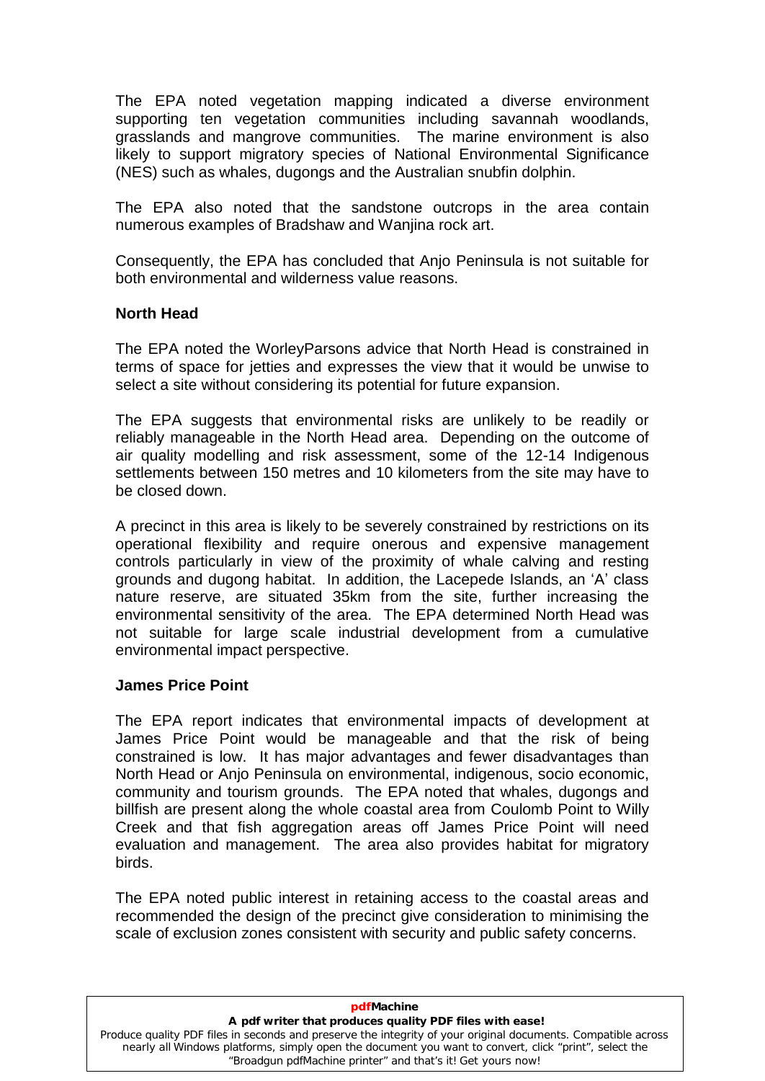The EPA noted vegetation mapping indicated a diverse environment supporting ten vegetation communities including savannah woodlands, grasslands and mangrove communities. The marine environment is also likely to support migratory species of National Environmental Significance (NES) such as whales, dugongs and the Australian snubfin dolphin.

The EPA also noted that the sandstone outcrops in the area contain numerous examples of Bradshaw and Wanjina rock art.

Consequently, the EPA has concluded that Anjo Peninsula is not suitable for both environmental and wilderness value reasons.

## <span id="page-12-0"></span>**North Head**

The EPA noted the WorleyParsons advice that North Head is constrained in terms of space for jetties and expresses the view that it would be unwise to select a site without considering its potential for future expansion.

The EPA suggests that environmental risks are unlikely to be readily or reliably manageable in the North Head area. Depending on the outcome of air quality modelling and risk assessment, some of the 12-14 Indigenous settlements between 150 metres and 10 kilometers from the site may have to be closed down.

A precinct in this area is likely to be severely constrained by restrictions on its operational flexibility and require onerous and expensive management controls particularly in view of the proximity of whale calving and resting grounds and dugong habitat. In addition, the Lacepede Islands, an 'A' class nature reserve, are situated 35km from the site, further increasing the environmental sensitivity of the area. The EPA determined North Head was not suitable for large scale industrial development from a cumulative environmental impact perspective.

#### <span id="page-12-1"></span>**James Price Point**

The EPA report indicates that environmental impacts of development at James Price Point would be manageable and that the risk of being constrained is low. It has major advantages and fewer disadvantages than North Head or Anjo Peninsula on environmental, indigenous, socio economic, community and tourism grounds. The EPA noted that whales, dugongs and billfish are present along the whole coastal area from Coulomb Point to Willy Creek and that fish aggregation areas off James Price Point will need evaluation and management. The area also provides habitat for migratory birds.

The EPA noted public interest in retaining access to the coastal areas and recommended the design of the precinct give consideration to minimising the scale of exclusion zones consistent with security and public safety concerns.

| pdfMachine                                                                                                                                                                                                                                                                            |
|---------------------------------------------------------------------------------------------------------------------------------------------------------------------------------------------------------------------------------------------------------------------------------------|
| A pdf writer that produces quality PDF files with ease!                                                                                                                                                                                                                               |
| Produce quality PDF files in seconds and preserve the integrity of your original documents. Compatible across<br>nearly all Windows platforms, simply open the document you want to convert, click "print", select the<br>"Broadgun pdfMachine printer" and that's it! Get yours now! |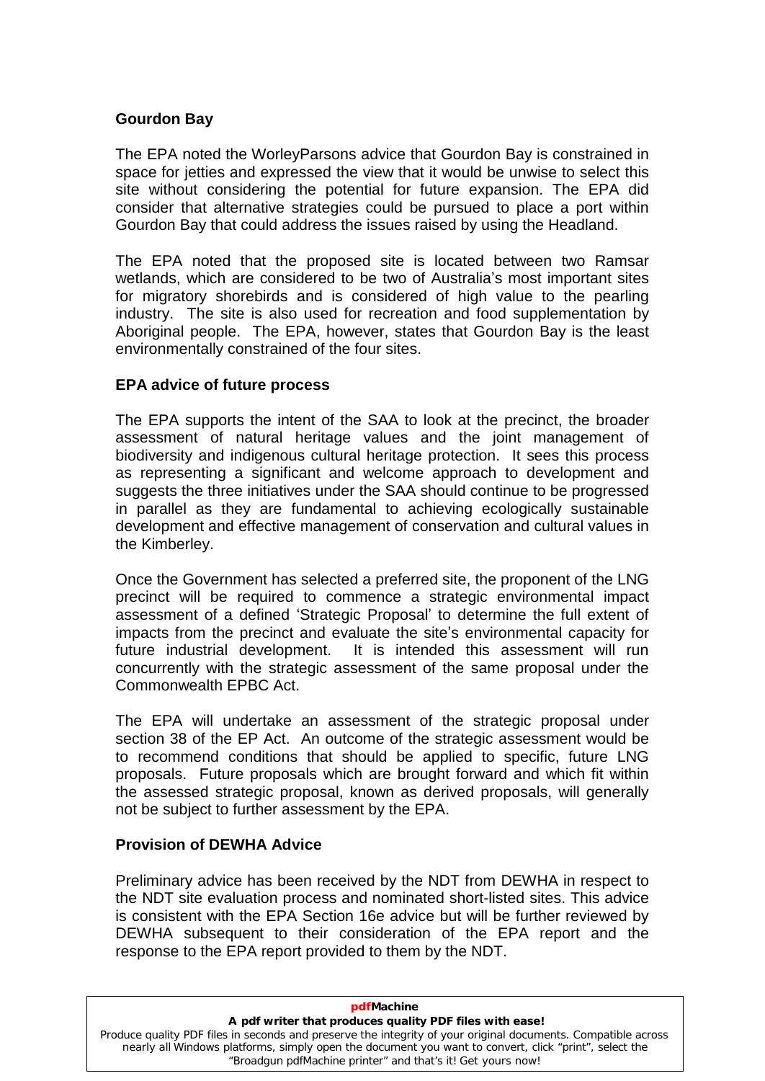#### <span id="page-13-0"></span>**Gourdon Bay**

The EPA noted the WorleyParsons advice that Gourdon Bay is constrained in space for jetties and expressed the view that it would be unwise to select this site without considering the potential for future expansion. The EPA did consider that alternative strategies could be pursued to place a port within Gourdon Bay that could address the issues raised by using the Headland.

The EPA noted that the proposed site is located between two Ramsar wetlands, which are considered to be two of Australia's most important sites for migratory shorebirds and is considered of high value to the pearling industry. The site is also used for recreation and food supplementation by Aboriginal people. The EPA, however, states that Gourdon Bay is the least environmentally constrained of the four sites.

#### <span id="page-13-1"></span>**EPA advice of future process**

The EPA supports the intent of the SAA to look at the precinct, the broader assessment of natural heritage values and the joint management of biodiversity and indigenous cultural heritage protection. It sees this process as representing a significant and welcome approach to development and suggests the three initiatives under the SAA should continue to be progressed in parallel as they are fundamental to achieving ecologically sustainable development and effective management of conservation and cultural values in the Kimberley.

Once the Government has selected a preferred site, the proponent of the LNG<br>precinct will be required to commence a strategic environmental impact<br>assessment of a defined 'Strategic Proposal' to determine the full extent o precinct will be required to commence a strategic environmental impact assessment of a defined 'Strategic Proposal' to determine the full extent of impacts from the precinct and evaluate the site's environmental capacity for future industrial development. It is intended this assessment will run concurrently with the strategic assessment of the same proposal under the Commonwealth EPBC Act.

The EPA will undertake an assessment of the strategic proposal under section 38 of the EP Act. An outcome of the strategic assessment would be to recommend conditions that should be applied to specific, future LNG proposals. Future proposals which are brought forward and which fit within the assessed strategic proposal, known as derived proposals, will generally not be subject to further assessment by the EPA.

#### <span id="page-13-2"></span>**Provision of DEWHA Advice**

Preliminary advice has been received by the NDT from DEWHA in respect to the NDT site evaluation process and nominated short-listed sites. This advice is consistent with the EPA Section 16e advice but will be further reviewed by DEWHA subsequent to their consideration of the EPA report and the response to the EPA report provided to them by the NDT.

| pdfMachine                                                                                                                                                                                                                                                                            |
|---------------------------------------------------------------------------------------------------------------------------------------------------------------------------------------------------------------------------------------------------------------------------------------|
| A pdf writer that produces quality PDF files with ease!                                                                                                                                                                                                                               |
| Produce quality PDF files in seconds and preserve the integrity of your original documents. Compatible across<br>nearly all Windows platforms, simply open the document you want to convert, click "print", select the<br>"Broadgun pdfMachine printer" and that's it! Get yours now! |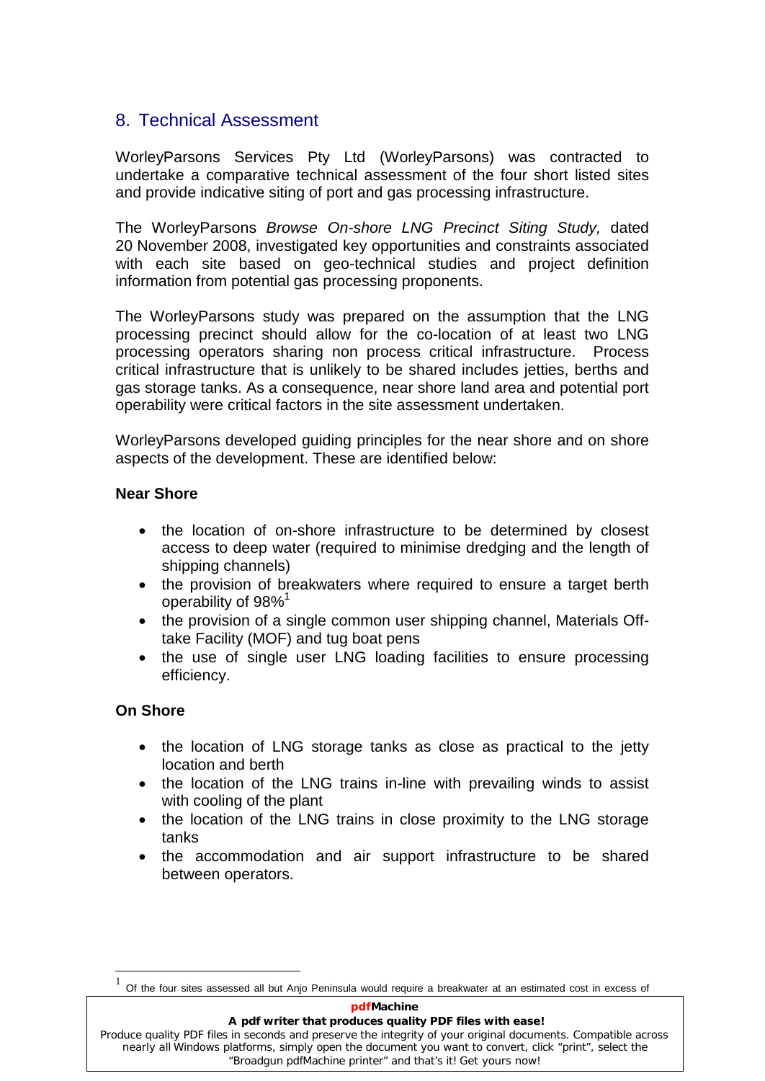# <span id="page-14-0"></span>8. Technical Assessment

WorleyParsons Services Pty Ltd (WorleyParsons) was contracted to undertake a comparative technical assessment of the four short listed sites and provide indicative siting of port and gas processing infrastructure.

The WorleyParsons Browse On-shore LNG Precinct Siting Study, dated 20 November 2008, investigated key opportunities and constraints associated with each site based on geo-technical studies and project definition information from potential gas processing proponents.

The WorleyParsons study was prepared on the assumption that the LNG processing precinct should allow for the co-location of at least two LNG processing operators sharing non process critical infrastructure. Process critical infrastructure that is unlikely to be shared includes jetties, berths and gas storage tanks. As a consequence, near shore land area and potential port operability were critical factors in the site assessment undertaken.

WorleyParsons developed guiding principles for the near shore and on shore aspects of the development. These are identified below:

# <span id="page-14-1"></span>**Near Shore**

- the location of on-shore infrastructure to be determined by closest  $\bullet$ access to deep water (required to minimise dredging and the length of shipping channels)
- the provision of breakwaters where required to ensure a target berth  $\text{constant}$ operability of 98%
- the provision of a single common user shipping channel, Materials Offtake Facility (MOF) and tug boat pens  $\bullet$
- the use of single user LNG loading facilities to ensure processing efficiency.

# <span id="page-14-2"></span>**On Shore**

- the location of LNG storage tanks as close as practical to the jetty location and berth
- the location of the LNG trains in-line with prevailing winds to assist with cooling of the plant
- the location of the LNG trains in close proximity to the LNG storage tanks  $\bullet$
- the accommodation and air support infrastructure to be shared  $\bullet$ between operators.

#### **pdfMachine**

#### **A pdf writer that produces quality PDF files with ease!**

 $1$  Of the four sites assessed all but Anjo Peninsula would require a breakwater at an estimated cost in excess of

Produce quality PDF files in seconds and preserve the integrity of your original documents. Compatible across nearly all Windows platforms, simply open the document you want to convert, click "print", select the "Broadgun pdfMachine printer" and that's it! Get yours now!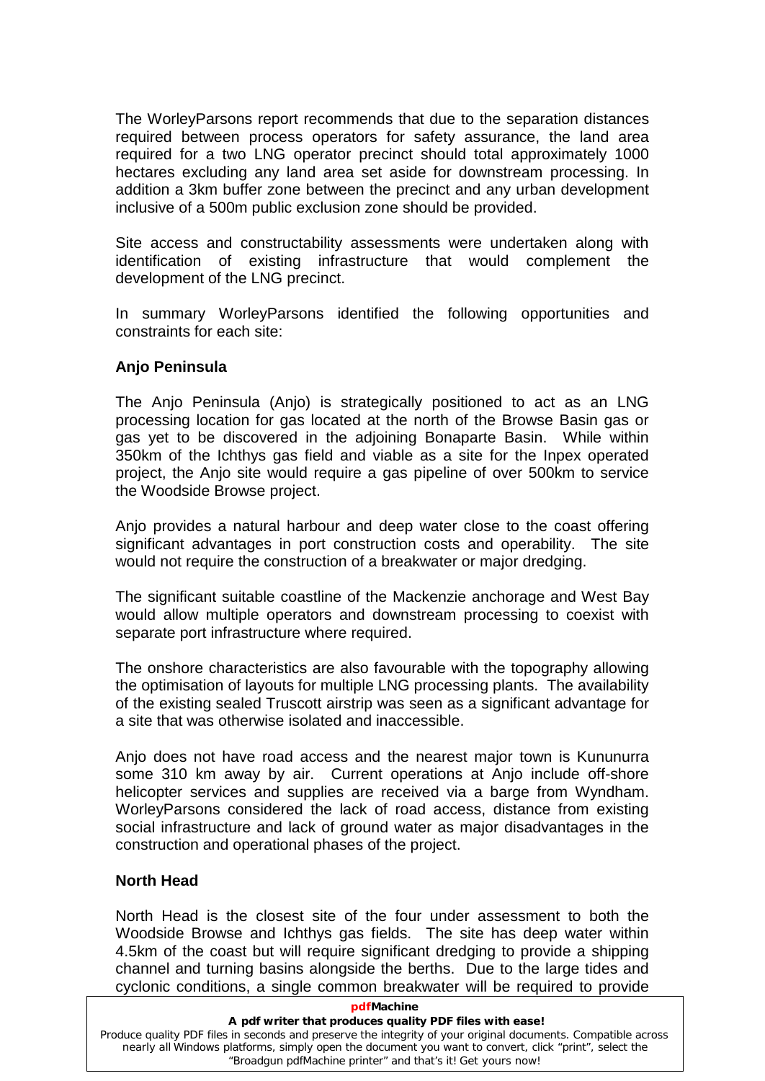The WorleyParsons report recommends that due to the separation distances required between process operators for safety assurance, the land area required for a two LNG operator precinct should total approximately 1000 hectares excluding any land area set aside for downstream processing. In addition a 3km buffer zone between the precinct and any urban development inclusive of a 500m public exclusion zone should be provided.

Site access and constructability assessments were undertaken along with identification of existing infrastructure that would complement the development of the LNG precinct.

In summary WorleyParsons identified the following opportunities and constraints for each site:

#### <span id="page-15-0"></span>**Anjo Peninsula**

The Anjo Peninsula (Anjo) is strategically positioned to act as an LNG processing location for gas located at the north of the Browse Basin gas or gas yet to be discovered in the adjoining Bonaparte Basin. While within 350km of the Ichthys gas field and viable as a site for the Inpex operated project, the Anjo site would require a gas pipeline of over 500km to service the Woodside Browse project.

Anjo provides a natural harbour and deep water close to the coast offering significant advantages in port construction costs and operability. The site would not require the construction of a breakwater or major dredging.

The significant suitable coastline of the Mackenzie anchorage and West Bay would allow multiple operators and downstream processing to coexist with separate port infrastructure where required.

The onshore characteristics are also favourable with the topography allowing the optimisation of layouts for multiple LNG processing plants. The availability of the existing sealed Truscott airstrip was seen as a significant advantage for a site that was otherwise isolated and inaccessible.

Anjo does not have road access and the nearest major town is Kununurra some 310 km away by air. Current operations at Anjo include off-shore helicopter services and supplies are received via a barge from Wyndham. WorleyParsons considered the lack of road access, distance from existing social infrastructure and lack of ground water as major disadvantages in the construction and operational phases of the project.

## <span id="page-15-1"></span>**North Head**

North Head is the closest site of the four under assessment to both the Woodside Browse and Ichthys gas fields. The site has deep water within 4.5km of the coast but will require significant dredging to provide a shipping channel and turning basins alongside the berths. Due to the large tides and cyclonic conditions, a single common breakwater will be required to provide

#### **pdf** Machine

#### **A pdf writer that produces quality PDF files with ease!**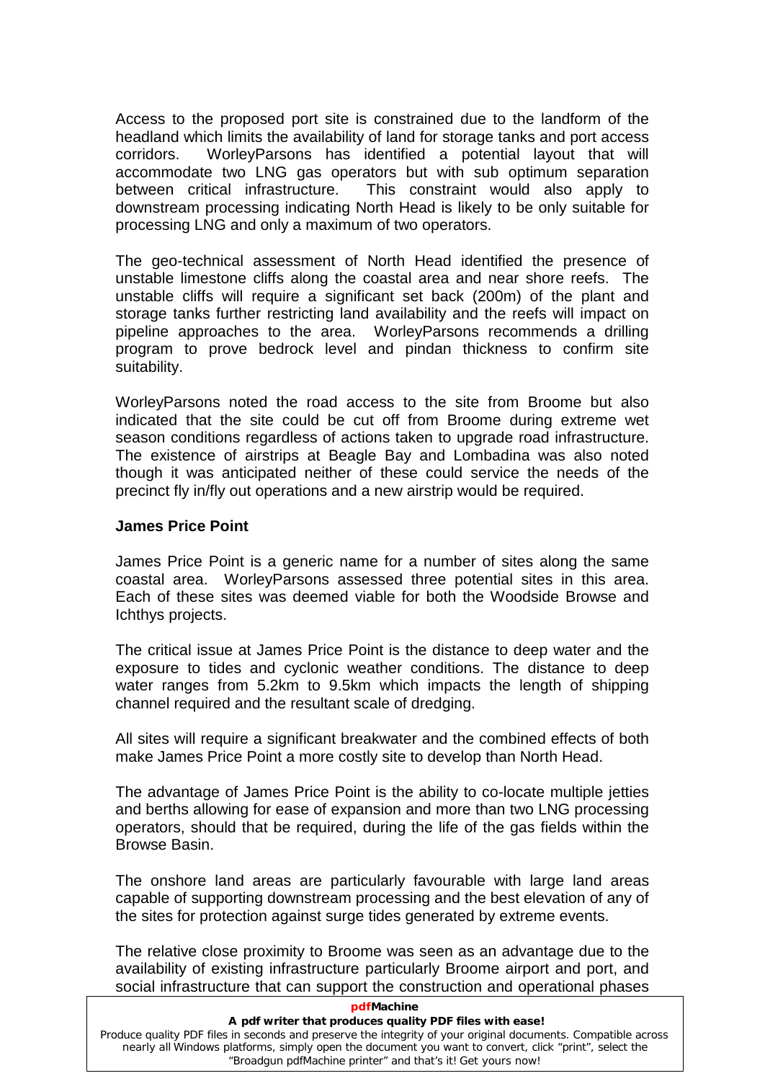Access to the proposed port site is constrained due to the landform of the headland which limits the availability of land for storage tanks and port access corridors. WorleyParsons has identified a potential layout that will accommodate two LNG gas operators but with sub optimum separation between critical infrastructure. This constraint would also apply to downstream processing indicating North Head is likely to be only suitable for processing LNG and only a maximum of two operators.

The geo-technical assessment of North Head identified the presence of unstable limestone cliffs along the coastal area and near shore reefs. The unstable cliffs will require a significant set back (200m) of the plant and storage tanks further restricting land availability and the reefs will impact on pipeline approaches to the area. WorleyParsons recommends a drilling program to prove bedrock level and pindan thickness to confirm site suitability.

WorleyParsons noted the road access to the site from Broome but also indicated that the site could be cut off from Broome during extreme wet season conditions regardless of actions taken to upgrade road infrastructure. The existence of airstrips at Beagle Bay and Lombadina was also noted though it was anticipated neither of these could service the needs of the precinct fly in/fly out operations and a new airstrip would be required.

#### <span id="page-16-0"></span>**James Price Point**

James Price Point is a generic name fora number of sites along the same coastal area. WorleyParsons assessed three potential sites in this area. Each of these sites was deemed viable for both the Woodside Browse and Ichthys projects.

The critical issue at James Price Point is the distance to deep water and the exposure to tides and cyclonic weather conditions. The distance to deep water ranges from 5.2km to 9.5km which impacts the length of shipping channel required and the resultant scale of dredging.

All sites will require a significant breakwater and the combined effects of both make James Price Point a more costly site to develop than North Head.

The advantage of James Price Point is the ability to co-locate multiple jetties and berths allowing for ease of expansion and more than two LNG processing operators, should that be required, during the life of the gas fields within the Browse Basin.

The onshore land areas are particularly favourable with large land areas capable of supporting downstream processing and the best elevation of any of the sites for protection against surge tides generated by extreme events.

The relative close proximity to Broome was seen as an advantage due to the availability of existing infrastructure particularly Broome airport and port, and social infrastructure that can support the construction and operational phases

#### **pdfMachine**

#### **A pdf writer that produces quality PDF files with ease!**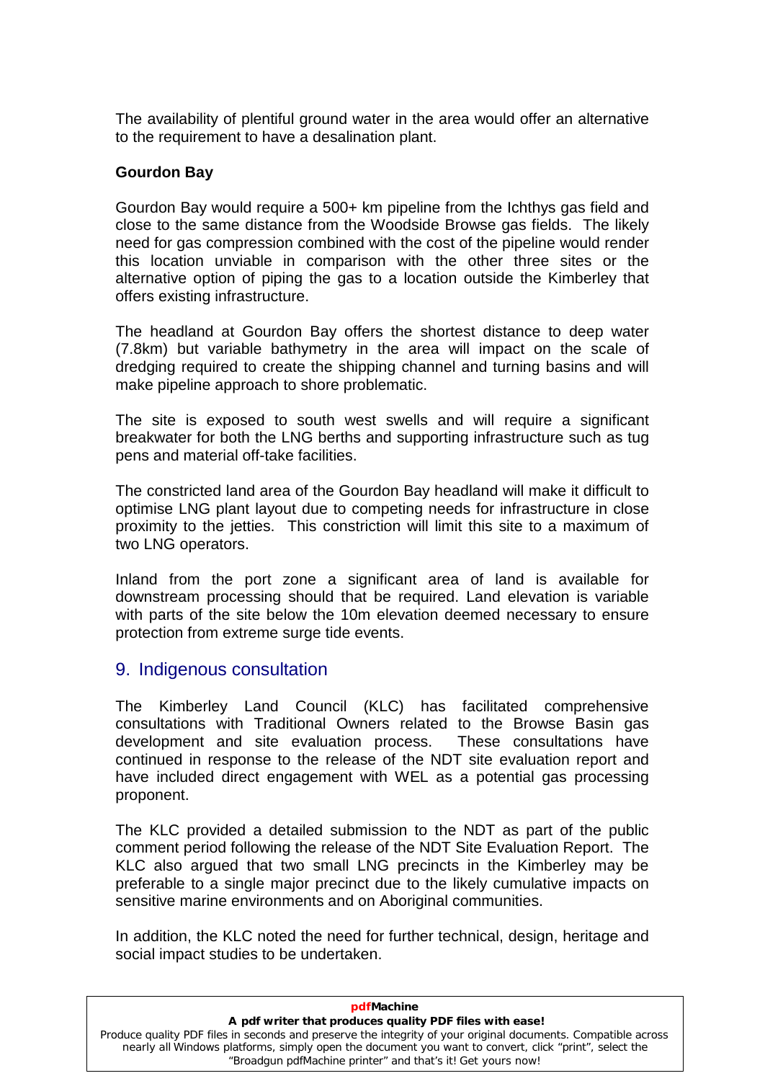The availability of plentiful ground water in the area would offer an alternative to the requirement to have a desalination plant.

#### <span id="page-17-0"></span>**Gourdon Bay**

Gourdon Bay would require a 500+ km pipeline from the Ichthys gas field and close to the same distance from the Woodside Browse gas fields. The likely need for gas compression combined with the costof the pipeline would render this location unviable in comparison with the other three sites or the alternative option of piping the gas to a location outside the Kimberley that offers existing infrastructure.

The headland at Gourdon Bay offers the shortest distance to deep water (7.8km) but variable bathymetry in the area will impact on the scale of dredging required to create the shipping channel and turning basins and will make pipeline approach to shore problematic.

The site is exposed to south west swells and will require a significant breakwater for both the LNG berths and supporting infrastructure such as tug pens and material off-take facilities.

The constricted land area of the Gourdon Bay headland will make it difficult to optimise LNG plant layout due to competing needs for infrastructure in close proximity to the jetties. This constriction will limit this site to a maximum of two LNG operators.

Inland from the port zone a significant area of land is available for downstream processing should that be required. Land elevation is variable with parts of the site below the 10m elevation deemed necessary to ensure protection from extreme surge tide events.

# <span id="page-17-1"></span>9. Indigenous consultation

The Kimberley Land Council (KLC) has facilitated comprehensive consultations with Traditional Owners related to the Browse Basin gas development and site evaluation process. These consultations have continued in response to the release of the NDT site evaluation report and have included direct engagement with WEL as a potential gas processing proponent.

The KLC provided a detailed submission to the NDT as part of the public comment period following the release of the NDT Site Evaluation Report. The KLC also argued that two small LNG precincts in the Kimberley may be preferable to a single major precinct due to the likely cumulative impacts on sensitive marine environments and on Aboriginal communities.

In addition, the KLC noted the need for further technical, design, heritage and social impact studies to be undertaken.

| <b>pdfMachine</b>                                                                                             |
|---------------------------------------------------------------------------------------------------------------|
| A pdf writer that produces quality PDF files with ease!                                                       |
| Produce quality PDF files in seconds and preserve the integrity of your original documents. Compatible across |
| nearly all Windows platforms, simply open the document you want to convert, click "print", select the         |
| "Broadgun pdfMachine printer" and that's it! Get yours now!                                                   |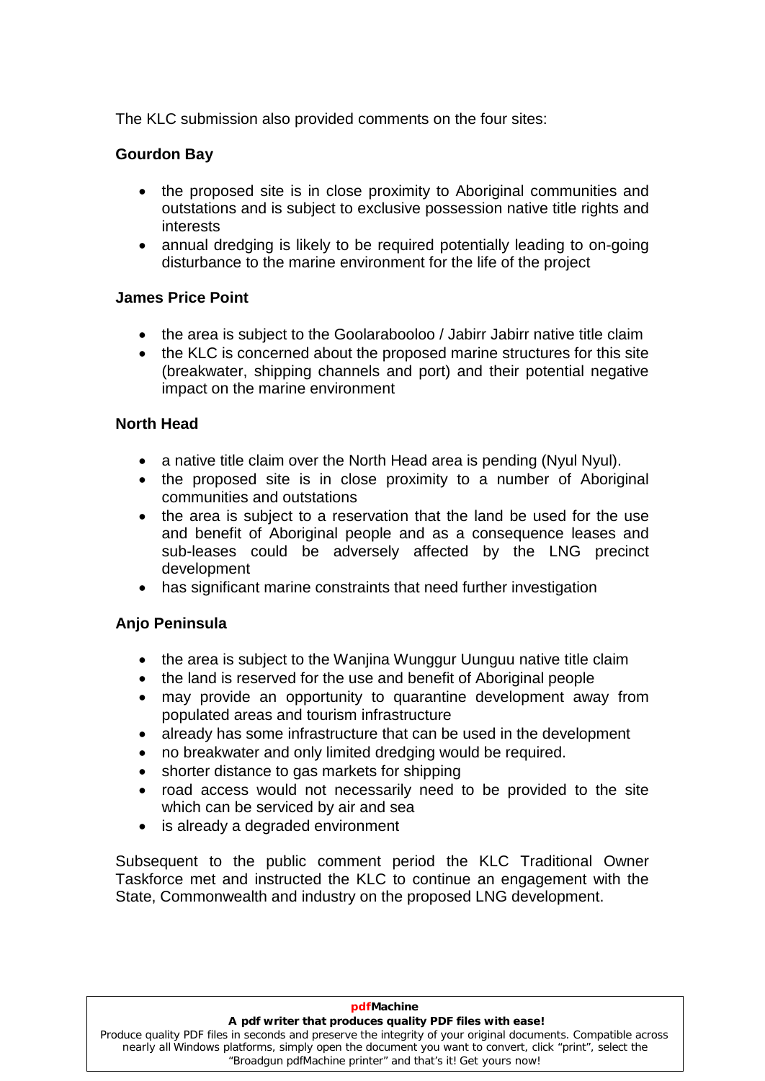The KLC submission also provided comments on the four sites:

# <span id="page-18-0"></span>**Gourdon Bay**

- the proposed site is in close proximity to Aboriginal communities and outstations and is subject to exclusive possession native title rights and interests
- annual dredging is likely to be required potentially leading to on-going disturbance to the marine environment for the life of the project

# <span id="page-18-1"></span>**James Price Point**

- the area is subject to the Goolarabooloo / Jabirr Jabirr native title claim
- the KLC is concerned about the proposed marine structures for this site (breakwater, shipping channels and port) and their potential negative impact on the marine environment

# <span id="page-18-2"></span>**North Head**

- a native title claim over the North Head area is pending (Nyul Nyul).
- the proposed site is in close proximity to a number of Aboriginal communities and outstations
- $\bullet$ the area is subject to a reservation that the land be used for the use and benefit of Aboriginal people and as a consequence leases and sub-leases could be adversely affected by the LNG precinct development
- has significant marine constraints that need further investigation  $\bullet$

# <span id="page-18-3"></span>**Anjo Peninsula**

- the area is subject to the Wanjina Wunggur Uunguu native title claim
- the land is reserved for the use and benefit of Aboriginal people
- may provide an opportunity to quarantine development away from populated areas and tourism infrastructure  $\bullet$
- populated areas and tourism infrastructure<br>• already has some infrastructure that can be used in the development
- already has some infrastructure that can be used in the developing would be required.  $\bullet$
- shorter distance to gas markets for shipping  $\bullet$
- road access would not necessarily need to be provided to the site which can be serviced by air and sea  $\bullet$
- is already a degraded environment  $\bullet$

Subsequent to the public comment period the KLC Traditional Owner Taskforce met and instructed the KLC to continue an engagement with the State, Commonwealth and industry on the proposed LNG development.

#### **pdfMachine**

#### **A pdf writer that produces quality PDF files with ease!**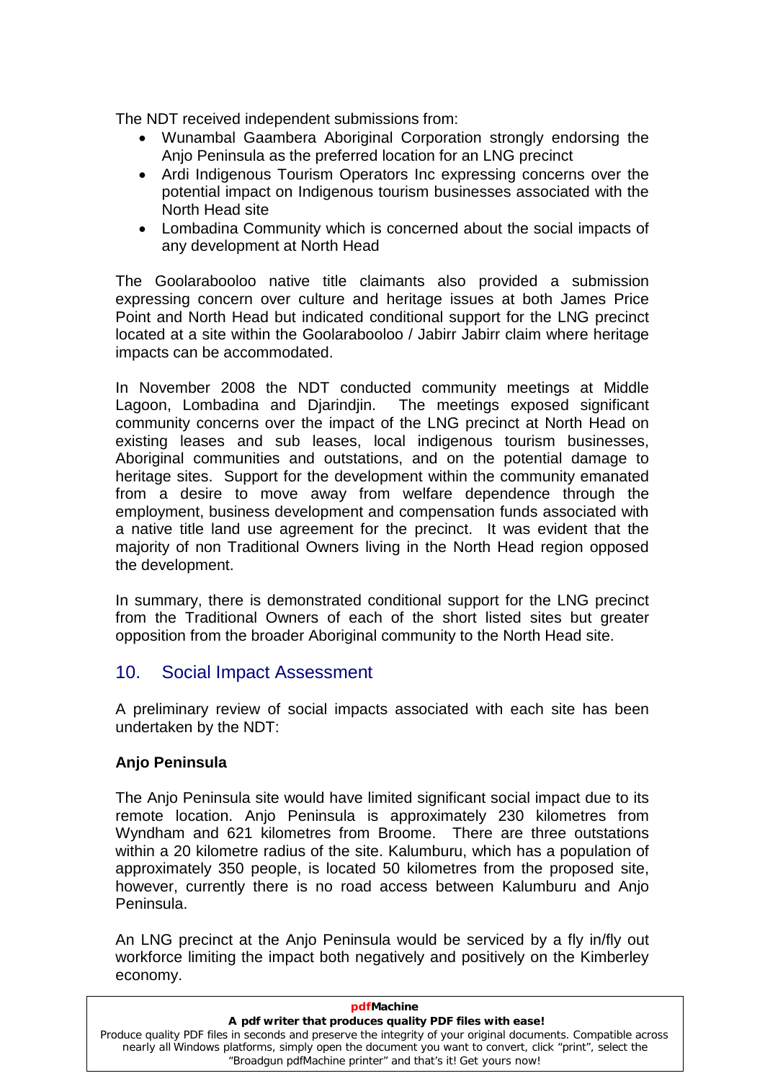The NDT received independent submissions from:

- Wunambal Gaambera Aboriginal Corporation strongly endorsing the Anjo Peninsula as the preferred location for an LNG precinct
- Ardi Indigenous Tourism Operators Inc expressing concerns over the potential impact on Indigenous tourism businesses associated with the North Head site
- Lombadina Community which is concerned about the social impacts of any development at North Head

The Goolarabooloo native title claimants also provided a submission expressing concern over culture and heritage issues at both James Price Point and North Head but indicated conditional support for the LNG precinct located at a site within the Goolarabooloo / Jabirr Jabirr claim where heritage impacts can be accommodated.

In November 2008 the NDT conducted community meetings at Middle Lagoon, Lombadina and Djarindjin. The meetings exposed significant community concerns over the impact of the LNG precinct at North Head on existing leases and sub leases, local indigenous tourism businesses, Aboriginal communities and outstations, and on the potential damage to heritage sites. Support for the development within the community emanated from a desire to move away from welfare dependence through the employment, business development and compensation funds associated with a native title land use agreement for the precinct. It was evident that the majority of non Traditional Owners living in the North Head region opposed the development.

In summary, there is demonstrated conditional support for the LNG precinct from the Traditional Owners of each of the short listed sites but greater opposition from the broader Aboriginal community to the North Head site.

# <span id="page-19-0"></span>10. Social Impact Assessment

A preliminary review of social impacts associated with each site has been undertaken by the NDT:

## <span id="page-19-1"></span>**Anjo Peninsula**

The Anjo Peninsula site would have limited significant social impact due to its remote location. Anjo Peninsula is approximately 230 kilometres from Wyndham and 621 kilometres from Broome. There are three outstations within a 20 kilometre radius of the site. Kalumburu, which has a population of approximately 350 people, is located 50 kilometres from the proposed site, however, currently there is no road access between Kalumburu and Anjo Peninsula.

An LNG precinct at the Anjo Peninsula would be serviced by a fly in/fly out workforce limiting the impact both negatively and positively on the Kimberley economy.

| <b>pdfMachine</b>                                                                                                                                                                                                                                                                     |
|---------------------------------------------------------------------------------------------------------------------------------------------------------------------------------------------------------------------------------------------------------------------------------------|
| A pdf writer that produces quality PDF files with ease!                                                                                                                                                                                                                               |
| Produce quality PDF files in seconds and preserve the integrity of your original documents. Compatible across<br>nearly all Windows platforms, simply open the document you want to convert, click "print", select the<br>"Broadgun pdfMachine printer" and that's it! Get yours now! |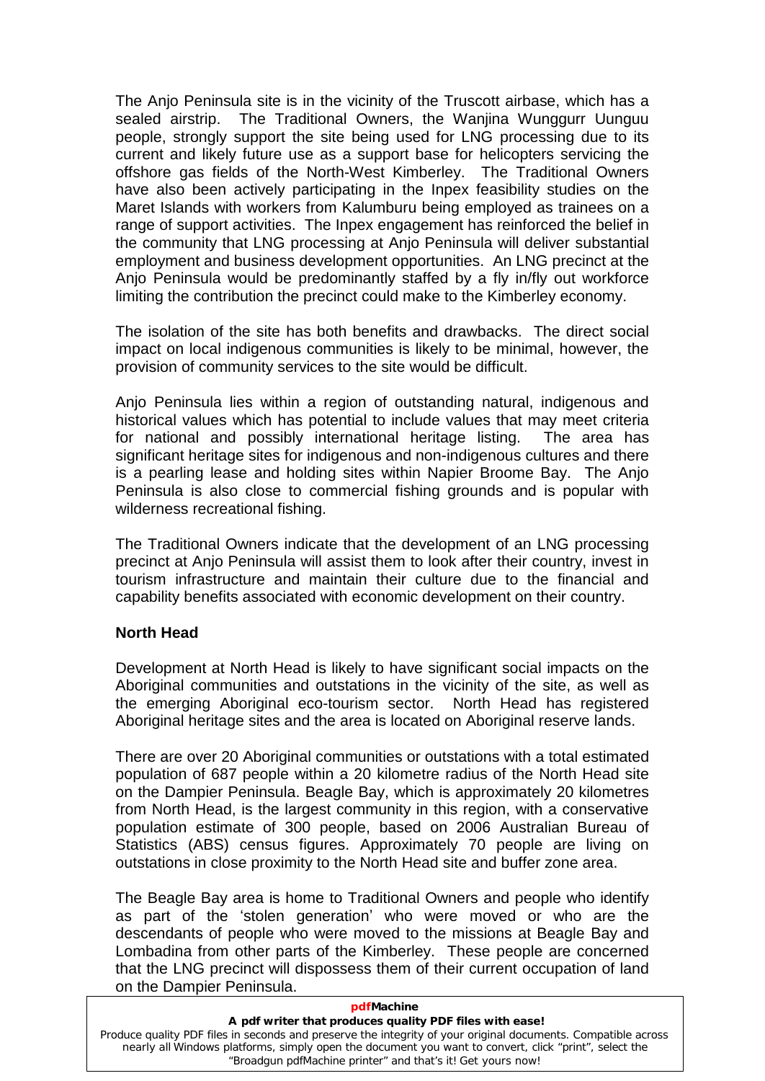The Anjo Peninsula site is in the vicinity of the Truscott airbase, which has a sealed airstrip. The Traditional Owners, the Wanjina Wunggurr Uunguu people, strongly support the site being used for LNG processing due to its current and likely future use as a support base for helicopters servicing the offshore gas fields of the North-West Kimberley. The Traditional Owners have also been actively participating in the Inpex feasibility studies on the Maret Islands with workers from Kalumburu being employed as trainees on a range of support activities. The Inpex engagement has reinforced the belief in the community that LNG processing at Anjo Peninsula will deliver substantial employment and business development opportunities. An LNG precinct at the Anjo Peninsula would be predominantly staffed by a fly in/fly out workforce limiting the contribution the precinct could make to the Kimberley economy.

The isolation of the site has both benefits and drawbacks. The direct social impact on local indigenous communities is likely to be minimal, however, the provision of community services to the site would be difficult.

Anjo Peninsula lies within a region of outstanding natural, indigenous and historical values which has potential to include values that may meet criteria for national and possibly international heritage listing. The area has significant heritage sites for indigenous and non-indigenous cultures and there is a pearling lease and holding sites within Napier Broome Bay. The Anjo Peninsula is also close to commercial fishing grounds and is popular with wilderness recreational fishing.

The Traditional Owners indicate that the development of an LNG processing precinct at Anjo Peninsula will assist them to look after their country, invest in tourism infrastructure and maintain their culture due to the financial and capability benefits associated with economic development on their country.

## <span id="page-20-0"></span>**North Head**

Development at North Head is likely to have significant social impacts on the Aboriginal communities and outstations in the vicinity of the site, as well as the emerging Aboriginal eco-tourism sector. North Head has registered Aboriginal heritage sites and the area is located on Aboriginal reserve lands.

There are over 20 Aboriginal communities or outstations with a total estimated population of 687 people within a 20 kilometre radius of the North Head site on the Dampier Peninsula. Beagle Bay, which is approximately 20 kilometres from North Head, is the largest community in this region, with a conservative population estimate of 300 people, based on 2006 Australian Bureau of Statistics (ABS) census figures. Approximately 70 people are living on outstations in close proximity to the North Head site and buffer zone area.

The Beagle Bay area is home to Traditional Owners and people who identify as part of the 'stolen generation' who were moved or who are the descendants of people who were moved to the missions at Beagle Bay and Lombadina from other parts of the Kimberley. These people are concerned that the LNG precinct will dispossess them of their current occupation of land on the Dampier Peninsula.

**pdfMachine** 

| pariviachine                                                                                                  |  |
|---------------------------------------------------------------------------------------------------------------|--|
| A pdf writer that produces quality PDF files with ease!                                                       |  |
| Produce quality PDF files in seconds and preserve the integrity of your original documents. Compatible across |  |
| nearly all Windows platforms, simply open the document you want to convert, click "print", select the         |  |
| "Broadgun pdfMachine printer" and that's it! Get yours now!                                                   |  |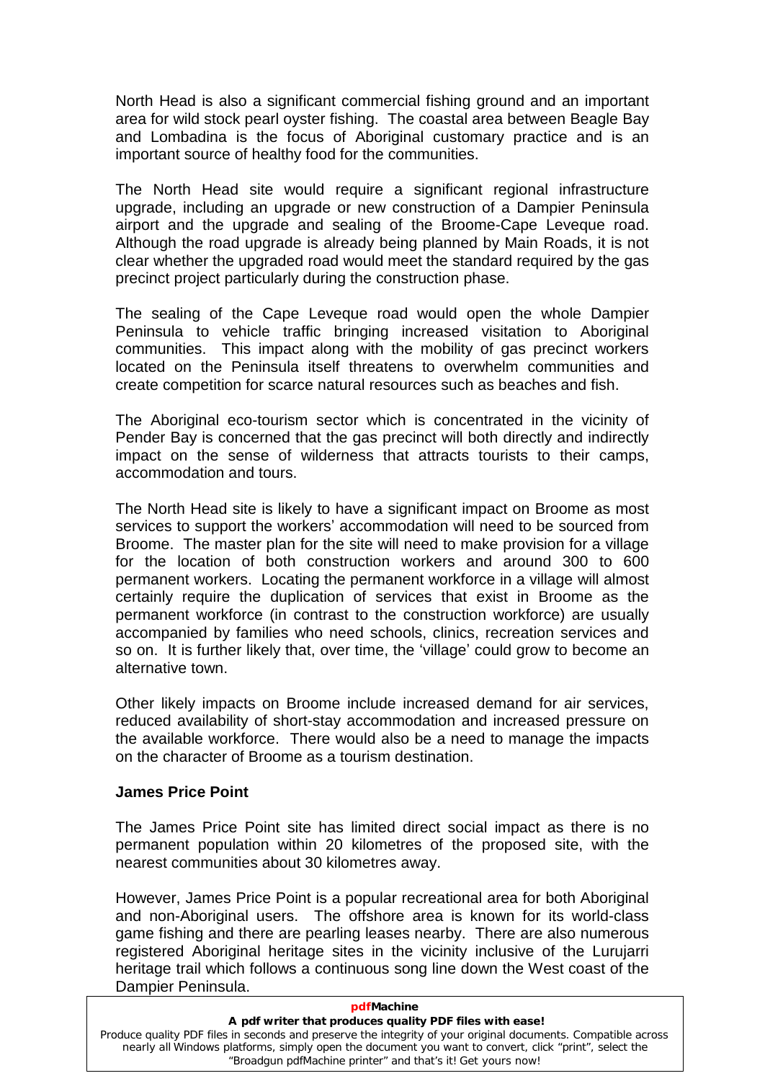North Head is also a significant commercial fishing ground and an important area for wild stock pearl oyster fishing. The coastal area between Beagle Bay and Lombadina is the focus of Aboriginal customary practice and is an important source of healthy food for the communities.

The North Head site would require a significant regional infrastructure upgrade, including an upgrade or new construction of a Dampier Peninsula airport and the upgrade and sealing of the Broome-Cape Leveque road. Although the road upgrade is already being planned by Main Roads, it is not clear whether the upgraded road would meet the standard required by the gas precinct project particularly during the construction phase.

The sealing of the Cape Leveque road would open the whole Dampier Peninsula to vehicle traffic bringing increased visitation to Aboriginal communities. This impact along with the mobility of gas precinct workers located on the Peninsula itself threatens to overwhelm communities and create competition for scarce natural resources such as beaches and fish.

The Aboriginal eco-tourism sector which is concentrated in the vicinity of Pender Bay is concerned that the gas precinct will both directly and indirectly impact on the sense of wilderness that attracts tourists to their camps, accommodation and tours.

The North Head site is likely to have a significant impact on Broome as most services to support the workers' accommodation will need to be sourced from Broome. The master plan for the site will need to make provision for a village for the location of both construction workers and around 300 to 600 permanent workers. Locating the permanent workforce in a village will almost certainly require the duplication of services that exist in Broome as the permanent workforce (in contrast to the construction workforce) are usually accompanied by families who need schools, clinics, recreation services and so that, the superiority of the construction workforce) are usually<br>accompanied by families who need schools, clinics, recreation services and<br>so on. It is further likely that, over time, the 'village' could grow to become alternative town.

Other likely impacts on Broome include increased demand for air services, reduced availability of short-stay accommodation and increased pressure on the available workforce. There would also be a need to manage the impacts on the character of Broome as a tourism destination.

## <span id="page-21-0"></span>**James Price Point**

The James Price Point site has limited direct social impact as there is no permanent population within 20 kilometres of the proposed site, with the nearest communities about 30 kilometres away.

However, James Price Point is a popular recreational area for both Aboriginal and non-Aboriginal users. The offshore area is known for its world-class game fishing and there are pearling leases nearby. There are also numerous registered Aboriginal heritage sites in the vicinity inclusive of the Lurujarri heritage trail which follows a continuous song line down the West coast of the Dampier Peninsula.

**pdfMachine** 

| <b>DUINQUILIC</b>                                                                                             |  |
|---------------------------------------------------------------------------------------------------------------|--|
| A pdf writer that produces quality PDF files with ease!                                                       |  |
| Produce quality PDF files in seconds and preserve the integrity of your original documents. Compatible across |  |
| nearly all Windows platforms, simply open the document you want to convert, click "print", select the         |  |
| "Broadgun pdfMachine printer" and that's it! Get yours now!                                                   |  |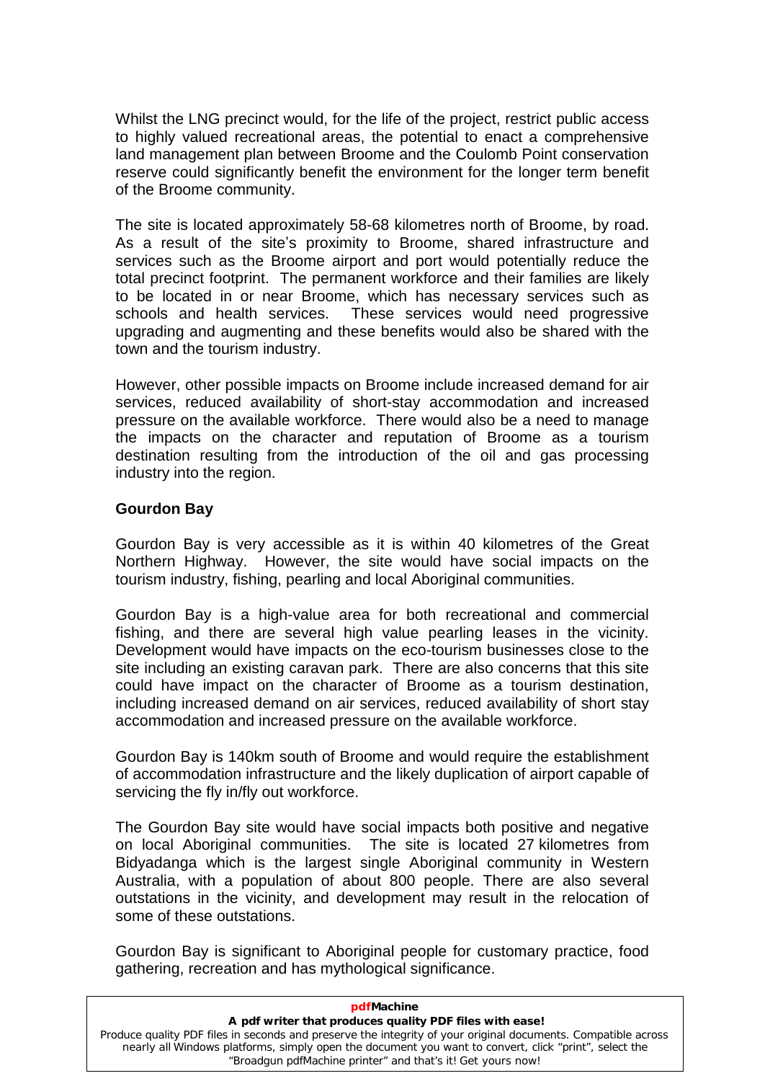Whilst the LNG precinct would, for the life of the project, restrict public access to highly valued recreational areas, the potential to enact a comprehensive land management plan between Broome and the Coulomb Point conservation reserve could significantly benefit the environment for the longer term benefit of the Broome community.

The site is located approximately 58-68 kilometres north of Broome, by road. or the pressite commanity.<br>The site is located approximately 58-68 kilometres north of Broome, by road.<br>As a result of the site's proximity to Broome, shared infrastructure and services such as the Broome airport and port would potentially reduce the total precinct footprint. The permanent workforce and their families are likely to be located in or near Broome, which has necessary services such as schools and health services. These services would need progressive upgrading and augmenting and these benefits would also be shared with the town and the tourism industry.

However, other possible impacts on Broome include increased demand for air services, reduced availability of short-stay accommodation and increased pressure on the available workforce. There would also be a need to manage the impacts on the character and reputation of Broome as a tourism destination resulting from the introduction of the oil and gas processing industry into the region.

## <span id="page-22-0"></span>**Gourdon Bay**

Gourdon Bay is very accessible as it is within 40 kilometres of the Great Northern Highway. However, the site would have social impacts on the tourism industry, fishing, pearling and local Aboriginal communities.

Gourdon Bay is a high-value area for both recreational and commercial fishing, and there are several high value pearling leases in the vicinity. Development would have impacts on the eco-tourism businesses close to the site including an existing caravan park. There are also concerns that this site could have impact on the character of Broome as a tourism destination, including increased demand on air services, reduced availability of short stay accommodation and increased pressure on the available workforce.

Gourdon Bay is 140km south of Broome and would require the establishment of accommodation infrastructure and the likely duplication of airport capable of servicing the fly in/fly out workforce.

The Gourdon Bay site would have social impacts both positive and negative on local Aboriginal communities. The site is located 27 kilometres from Bidyadanga which is the largest single Aboriginal community in Western Australia, with a population of about 800 people. There are also several outstations in the vicinity, and development may result in the relocation of some of these outstations.

Gourdon Bay is significant to Aboriginal people for customary practice, food gathering, recreation and has mythological significance.

| Produce quality PDF files in seconds and preserve the integrity of your original documents. Compatible across |
|---------------------------------------------------------------------------------------------------------------|
|                                                                                                               |
|                                                                                                               |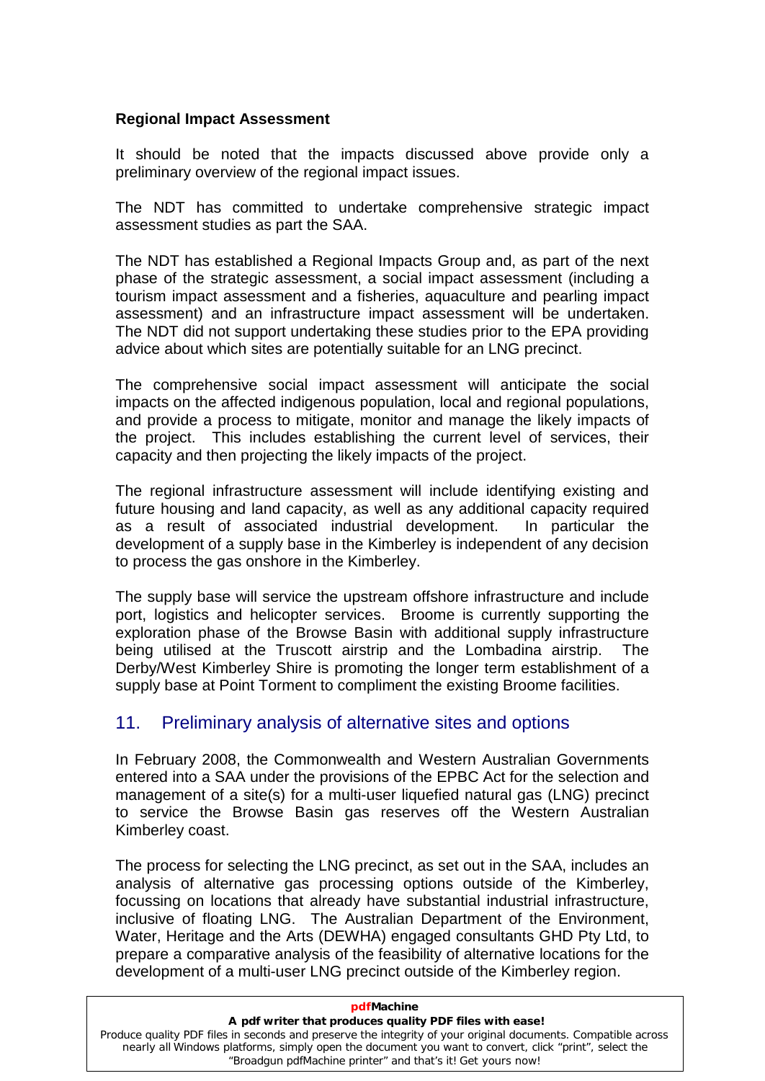#### <span id="page-23-0"></span>**Regional Impact Assessment**

It should be noted that the impacts discussed above provide only a preliminary overview of the regional impact issues.

The NDT has committed to undertake comprehensive strategic impact assessment studies as part the SAA.

The NDT has established a Regional Impacts Group and, as part of the next phase of the strategic assessment, a social impact assessment (including a tourism impact assessment and a fisheries, aquaculture and pearling impact assessment) and an infrastructure impact assessment will be undertaken. The NDT did not support undertaking these studies prior to the EPA providing advice about which sites are potentially suitable for an LNG precinct.

The comprehensive social impact assessment will anticipate the social impacts on the affected indigenous population, local and regional populations, and provide a process to mitigate, monitor and manage the likely impacts of the project. This includes establishing the current level of services, their capacity and then projecting the likely impacts of the project.

The regional infrastructure assessment will include identifying existing and future housing and land capacity, as well as any additional capacity required as a result of associated industrial development. In particular the development of a supply base in the Kimberley is independent of any decision to process the gas onshore in the Kimberley.

The supply base will service the upstream offshore infrastructure and include port, logistics and helicopter services. Broome is currently supporting the exploration phase of the Browse Basin with additional supply infrastructure being utilised at the Truscott airstrip and the Lombadina airstrip. The Derby/West Kimberley Shire is promoting the longer term establishment of a supply base at Point Torment to compliment the existing Broome facilities.

# <span id="page-23-1"></span>11. Preliminary analysis of alternative sites and options

In February 2008, the Commonwealth and Western Australian Governments entered into a SAA under the provisions of the EPBC Act for the selection and management of a site(s) for a multi-user liquefied natural gas (LNG) precinct to service the Browse Basin gas reserves off the Western Australian Kimberley coast.

The process for selecting the LNG precinct, as set out in the SAA, includes an analysis of alternative gas processing options outside of the Kimberley, focussing on locations that already have substantial industrial infrastructure, inclusive of floating LNG. The Australian Department of the Environment, Water, Heritage and the Arts (DEWHA) engaged consultants GHD Pty Ltd, to prepare a comparative analysis of the feasibility of alternative locations for the development of a multi-user LNG precinct outside of the Kimberley region.

| pdfMachine                                                                                                                                                                                                                                                                            |
|---------------------------------------------------------------------------------------------------------------------------------------------------------------------------------------------------------------------------------------------------------------------------------------|
| A pdf writer that produces quality PDF files with ease!                                                                                                                                                                                                                               |
| Produce quality PDF files in seconds and preserve the integrity of your original documents. Compatible across<br>nearly all Windows platforms, simply open the document you want to convert, click "print", select the<br>"Broadgun pdfMachine printer" and that's it! Get yours now! |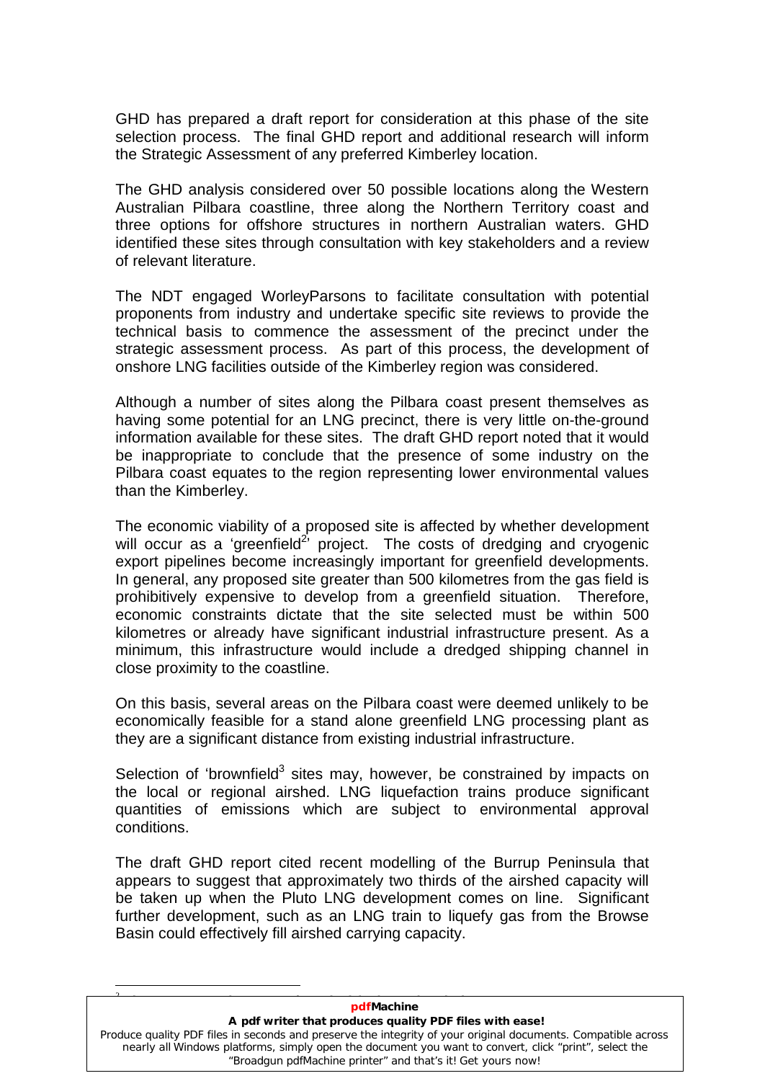GHD has prepared a draft report for consideration at this phase of the site selection process. The final GHD report and additional research will inform the Strategic Assessment of any preferred Kimberley location.

The GHD analysis considered over 50 possible locations along the Western Australian Pilbara coastline, three along the Northern Territory coast and three options for offshore structures in northern Australian waters. GHD identified these sites through consultation with key stakeholders and a review of relevant literature.

The NDT engaged WorleyParsons to facilitate consultation with potential proponents from industry and undertake specific site reviews to provide the technical basis to commence the assessment of the precinct under the strategic assessment process. As part of this process, the development of onshore LNG facilities outside of the Kimberley region was considered.

Although a number of sites along the Pilbara coast present themselves as having some potential for an LNG precinct, there is very little on-the-ground information available for these sites. The draft GHD report noted that it would be inappropriate to conclude that the presence of some industry on the Pilbara coast equates to the region representing lower environmental values than the Kimberley.

The economic viability of a proposed site is affected by whether development when we can<br>The economic viability of a proposed<br>will occur as a 'greenfield<sup>2'</sup> project <sup>2</sup> project. The costs of dredging and cryogenic export pipelines become increasingly important for greenfield developments. In general, any proposed site greater than 500 kilometres from the gas field is prohibitively expensive to develop from a greenfield situation. Therefore, economic constraints dictate that the site selected must be within 500 kilometres or already have significant industrial infrastructure present. As a minimum, this infrastructure would include a dredged shipping channel in close proximity to the coastline.

On this basis, several areas on the Pilbara coast were deemed unlikely to be economically feasible for a stand alone greenfield LNG processing plant as they are a significant distance from existing industrial infrastructure. they are a significant distance from existing industrial infrastructure.<br>Selection of 'brownfield<sup>3</sup> sites may, however, be constrained by impacts on

the local or regional airshed. LNG liquefaction trains produce significant quantities of emissions which are subject to environmental approval conditions.

The draft GHD report cited recent modelling of the Burrup Peninsula that appears to suggest that approximately two thirds of the airshed capacity will be taken up when the Pluto LNG development comes on line. Significant further development, such as an LNG train to liquefy gas from the Browse Basin could effectively fill airshed carrying capacity.

#### **pdfMachine**

# <sup>2</sup><br>2 **pdfMachine**<br>A pdf writer that produces quality PDF files with ease!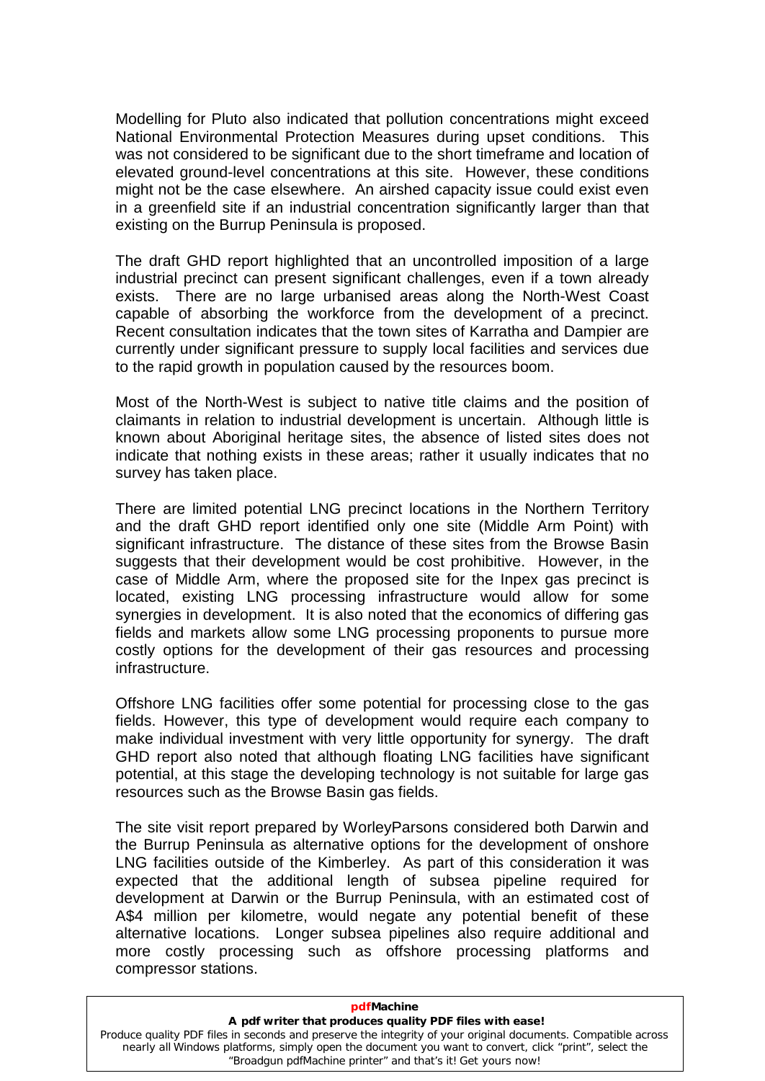Modelling for Pluto also indicated that pollution concentrations might exceed National Environmental Protection Measures during upset conditions. This was not considered to be significant due to the short timeframe and location of elevated ground-level concentrations at this site. However, these conditions might not be the case elsewhere. An airshed capacity issue could exist even in a greenfield site if an industrial concentration significantly larger than that existing on the Burrup Peninsula is proposed.

The draft GHD report highlighted that an uncontrolled imposition of a large industrial precinct can present significant challenges, even if a town already exists. There are no large urbanised areas along the North-West Coast capable of absorbing the workforce from the development of a precinct. Recent consultation indicates that the town sites of Karratha and Dampier are currently under significant pressure to supply local facilities and services due to the rapid growth in population caused by the resources boom.

Most of the North-West is subject to native title claims and the position of claimants in relation to industrial development is uncertain. Although little is known about Aboriginal heritage sites, the absence of listed sites does not indicate that nothing exists in these areas; rather it usually indicates that no survey has taken place.

There are limited potential LNG precinct locations in the Northern Territory and the draft GHD report identified only one site (Middle Arm Point) with significant infrastructure. The distance of these sites from the Browse Basin suggests that their development would be cost prohibitive. However, in the case of Middle Arm, where the proposed site for the Inpex gas precinct is located, existing LNG processing infrastructure would allow for some synergies in development. It is also noted that the economics of differing gas fields and markets allow some LNG processing proponents to pursue more costly options for the development of their gas resources and processing infrastructure.

Offshore LNG facilities offer some potential for processing close to the gas fields. However, this type of development would require each company to make individual investment with very little opportunity for synergy. The draft GHD report also noted that although floating LNG facilities have significant potential, at this stage the developing technology is not suitable for large gas resources such as the Browse Basin gas fields.

The site visit report prepared by WorleyParsons considered both Darwin and the Burrup Peninsula as alternative options for the development of onshore LNG facilities outside of the Kimberley. As part of this consideration it was expected that the additional length of subsea pipeline required for development at Darwin or the Burrup Peninsula, with an estimated cost of A\$4 million per kilometre, would negate any potential benefit of these alternative locations. Longer subsea pipelines also require additional and more costly processing such as offshore processing platforms and compressor stations.

| pdfMachine                                                                                                                                                                                                                                                                            |
|---------------------------------------------------------------------------------------------------------------------------------------------------------------------------------------------------------------------------------------------------------------------------------------|
| A pdf writer that produces quality PDF files with ease!                                                                                                                                                                                                                               |
| Produce quality PDF files in seconds and preserve the integrity of your original documents. Compatible across<br>nearly all Windows platforms, simply open the document you want to convert, click "print", select the<br>"Broadgun pdfMachine printer" and that's it! Get yours now! |